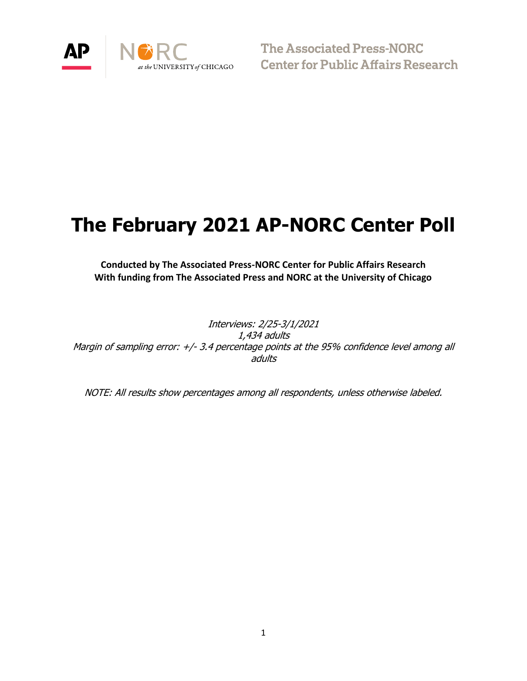

The Associated Press-NORC **Center for Public Affairs Research** 

# **The February 2021 AP-NORC Center Poll**

**Conducted by The Associated Press-NORC Center for Public Affairs Research With funding from The Associated Press and NORC at the University of Chicago**

Interviews: 2/25-3/1/2021 1,434 adults Margin of sampling error: +/- 3.4 percentage points at the 95% confidence level among all adults

NOTE: All results show percentages among all respondents, unless otherwise labeled.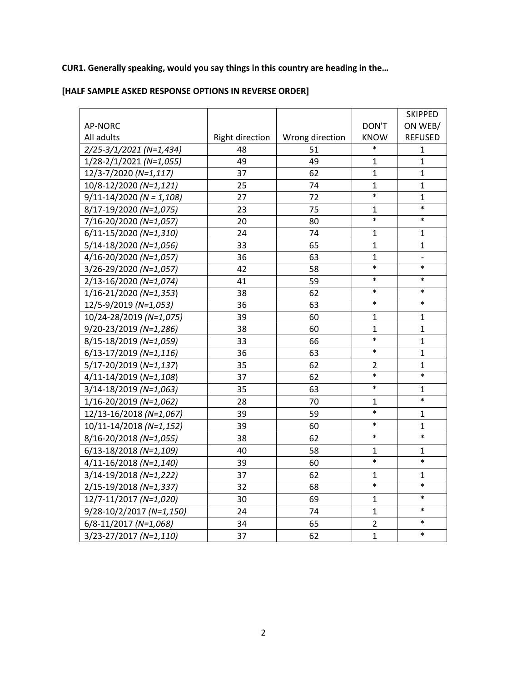# **CUR1. Generally speaking, would you say things in this country are heading in the…**

# **[HALF SAMPLE ASKED RESPONSE OPTIONS IN REVERSE ORDER]**

|                              |                        |                 |                | <b>SKIPPED</b> |
|------------------------------|------------------------|-----------------|----------------|----------------|
| <b>AP-NORC</b>               |                        |                 | DON'T          | ON WEB/        |
| All adults                   | <b>Right direction</b> | Wrong direction | <b>KNOW</b>    | <b>REFUSED</b> |
| 2/25-3/1/2021 (N=1,434)      | 48                     | 51              | $\ast$         | $\mathbf{1}$   |
| $1/28 - 2/1/2021$ (N=1,055)  | 49                     | 49              | 1              | $\mathbf{1}$   |
| 12/3-7/2020 (N=1,117)        | 37                     | 62              | $\mathbf 1$    | $\mathbf{1}$   |
| 10/8-12/2020 (N=1,121)       | 25                     | 74              | $\mathbf{1}$   | $\mathbf{1}$   |
| $9/11 - 14/2020$ (N = 1,108) | 27                     | 72              | $\ast$         | $\mathbf{1}$   |
| 8/17-19/2020 (N=1,075)       | 23                     | 75              | 1              | $\ast$         |
| 7/16-20/2020 (N=1,057)       | 20                     | 80              | $\ast$         | $\ast$         |
| 6/11-15/2020 (N=1,310)       | 24                     | 74              | $\mathbf{1}$   | $\mathbf{1}$   |
| 5/14-18/2020 (N=1,056)       | 33                     | 65              | $\mathbf{1}$   | $\mathbf{1}$   |
| 4/16-20/2020 (N=1,057)       | 36                     | 63              | 1              |                |
| 3/26-29/2020 (N=1,057)       | 42                     | 58              | $\ast$         | $\ast$         |
| 2/13-16/2020 (N=1,074)       | 41                     | 59              | $\ast$         | $\ast$         |
| 1/16-21/2020 (N=1,353)       | 38                     | 62              | $\ast$         | $\ast$         |
| 12/5-9/2019 (N=1,053)        | 36                     | 63              | $\ast$         | $\ast$         |
| 10/24-28/2019 (N=1,075)      | 39                     | 60              | $\mathbf{1}$   | $\mathbf{1}$   |
| 9/20-23/2019 (N=1,286)       | 38                     | 60              | 1              | $\mathbf{1}$   |
| 8/15-18/2019 (N=1,059)       | 33                     | 66              | $\ast$         | $\mathbf{1}$   |
| $6/13-17/2019$ (N=1,116)     | 36                     | 63              | $\ast$         | $\mathbf{1}$   |
| 5/17-20/2019 (N=1,137)       | 35                     | 62              | $\overline{2}$ | $\mathbf{1}$   |
| 4/11-14/2019 (N=1,108)       | 37                     | 62              | $\ast$         | $\ast$         |
| 3/14-18/2019 (N=1,063)       | 35                     | 63              | $\ast$         | $\mathbf{1}$   |
| 1/16-20/2019 (N=1,062)       | 28                     | 70              | 1              | $\ast$         |
| 12/13-16/2018 (N=1,067)      | 39                     | 59              | $\ast$         | $\mathbf{1}$   |
| 10/11-14/2018 (N=1,152)      | 39                     | 60              | $\ast$         | $\mathbf{1}$   |
| 8/16-20/2018 (N=1,055)       | 38                     | 62              | $\ast$         | $\ast$         |
| 6/13-18/2018 (N=1,109)       | 40                     | 58              | $\mathbf 1$    | $\mathbf{1}$   |
| 4/11-16/2018 (N=1,140)       | 39                     | 60              | $\ast$         | $\ast$         |
| 3/14-19/2018 (N=1,222)       | 37                     | 62              | $\mathbf 1$    | 1              |
| 2/15-19/2018 (N=1,337)       | 32                     | 68              | $\ast$         | $\ast$         |
| 12/7-11/2017 (N=1,020)       | 30                     | 69              | 1              | $\ast$         |
| 9/28-10/2/2017 (N=1,150)     | 24                     | 74              | $\mathbf{1}$   | $\ast$         |
| 6/8-11/2017 (N=1,068)        | 34                     | 65              | $\overline{2}$ | $\ast$         |
| 3/23-27/2017 (N=1,110)       | 37                     | 62              | $\mathbf{1}$   | $\ast$         |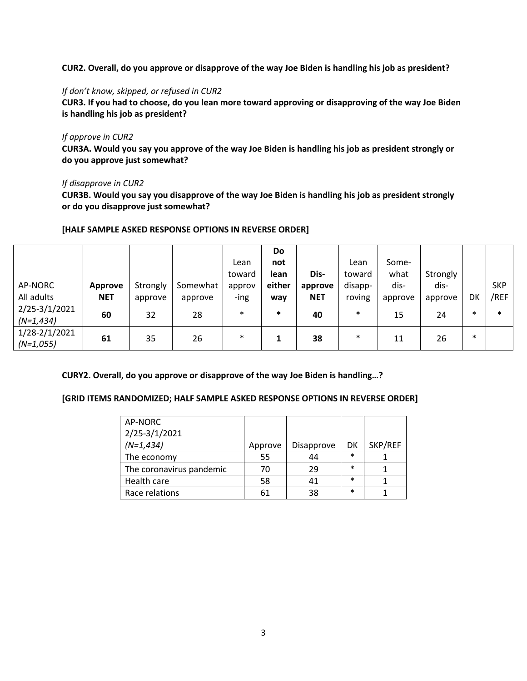**CUR2. Overall, do you approve or disapprove of the way Joe Biden is handling his job as president?**

#### *If don't know, skipped, or refused in CUR2*

**CUR3. If you had to choose, do you lean more toward approving or disapproving of the way Joe Biden is handling his job as president?**

### *If approve in CUR2*

**CUR3A. Would you say you approve of the way Joe Biden is handling his job as president strongly or do you approve just somewhat?**

### *If disapprove in CUR2*

**CUR3B. Would you say you disapprove of the way Joe Biden is handling his job as president strongly or do you disapprove just somewhat?**

|               |            |          |          |        | Do     |            |         |         |          |        |            |
|---------------|------------|----------|----------|--------|--------|------------|---------|---------|----------|--------|------------|
|               |            |          |          | Lean   | not    |            | Lean    | Some-   |          |        |            |
|               |            |          |          | toward | lean   | Dis-       | toward  | what    | Strongly |        |            |
| AP-NORC       | Approve    | Strongly | Somewhat | approv | either | approve    | disapp- | dis-    | dis-     |        | <b>SKP</b> |
| All adults    | <b>NET</b> | approve  | approve  | -ing   | way    | <b>NET</b> | roving  | approve | approve  | DK     | /REF       |
| 2/25-3/1/2021 | 60         | 32       | 28       | $\ast$ | $\ast$ | 40         | $\ast$  | 15      | 24       | $\ast$ | $\ast$     |
| $(N=1, 434)$  |            |          |          |        |        |            |         |         |          |        |            |
| 1/28-2/1/2021 | 61         | 35       | 26       | $\ast$ |        | 38         | $\ast$  | 11      | 26       | $\ast$ |            |
| $(N=1,055)$   |            |          |          |        |        |            |         |         |          |        |            |

### **[HALF SAMPLE ASKED RESPONSE OPTIONS IN REVERSE ORDER]**

### **CURY2. Overall, do you approve or disapprove of the way Joe Biden is handling…?**

### **[GRID ITEMS RANDOMIZED; HALF SAMPLE ASKED RESPONSE OPTIONS IN REVERSE ORDER]**

| AP-NORC                  |         |            |        |         |
|--------------------------|---------|------------|--------|---------|
| 2/25-3/1/2021            |         |            |        |         |
| $(N=1, 434)$             | Approve | Disapprove | DK     | SKP/REF |
| The economy              | 55      | 44         | $\ast$ |         |
| The coronavirus pandemic | 70      | 29         | $\ast$ |         |
| Health care              | 58      | 41         | $\ast$ |         |
| Race relations           | 61      | 38         | $\ast$ |         |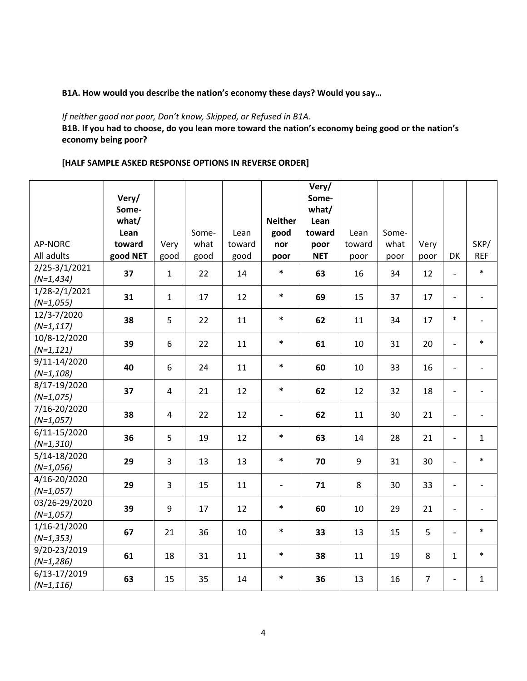### **B1A. How would you describe the nation's economy these days? Would you say…**

### *If neither good nor poor, Don't know, Skipped, or Refused in B1A.*

**B1B. If you had to choose, do you lean more toward the nation's economy being good or the nation's economy being poor?** 

# **[HALF SAMPLE ASKED RESPONSE OPTIONS IN REVERSE ORDER]**

|                |          |                |       |        |                          | Very/      |        |       |                |                          |                          |
|----------------|----------|----------------|-------|--------|--------------------------|------------|--------|-------|----------------|--------------------------|--------------------------|
|                | Very/    |                |       |        |                          | Some-      |        |       |                |                          |                          |
|                | Some-    |                |       |        |                          | what/      |        |       |                |                          |                          |
|                | what/    |                |       |        | <b>Neither</b>           | Lean       |        |       |                |                          |                          |
|                | Lean     |                | Some- | Lean   | good                     | toward     | Lean   | Some- |                |                          |                          |
| <b>AP-NORC</b> | toward   | Very           | what  | toward | nor                      | poor       | toward | what  | Very           |                          | SKP/                     |
| All adults     | good NET | good           | good  | good   | poor                     | <b>NET</b> | poor   | poor  | poor           | DK                       | <b>REF</b>               |
| 2/25-3/1/2021  | 37       | $\mathbf{1}$   | 22    | 14     | $\ast$                   | 63         | 16     | 34    | 12             | $\blacksquare$           | $\ast$                   |
| $(N=1, 434)$   |          |                |       |        |                          |            |        |       |                |                          |                          |
| 1/28-2/1/2021  | 31       | $\mathbf{1}$   | 17    | 12     | $\ast$                   | 69         | 15     | 37    | 17             | $\blacksquare$           | $\blacksquare$           |
| $(N=1,055)$    |          |                |       |        |                          |            |        |       |                |                          |                          |
| 12/3-7/2020    | 38       | 5              | 22    | 11     | $\ast$                   | 62         | 11     | 34    | 17             | $\ast$                   | $\overline{\phantom{a}}$ |
| $(N=1, 117)$   |          |                |       |        |                          |            |        |       |                |                          |                          |
| 10/8-12/2020   | 39       | 6              | 22    | 11     | $\ast$                   | 61         | 10     | 31    | 20             | $\blacksquare$           | $\ast$                   |
| $(N=1, 121)$   |          |                |       |        |                          |            |        |       |                |                          |                          |
| 9/11-14/2020   | 40       | 6              | 24    | 11     | $\ast$                   | 60         |        | 33    | 16             |                          | $\overline{\phantom{a}}$ |
| $(N=1,108)$    |          |                |       |        |                          |            | 10     |       |                | $\overline{\phantom{a}}$ |                          |
| 8/17-19/2020   |          | $\overline{4}$ |       |        | $\ast$                   |            |        |       | 18             |                          |                          |
| $(N=1,075)$    | 37       |                | 21    | 12     |                          | 62         | 12     | 32    |                | $\overline{\phantom{a}}$ | $\overline{\phantom{a}}$ |
| 7/16-20/2020   | 38       | $\overline{4}$ | 22    | 12     |                          | 62         | 11     | 30    | 21             | $\overline{\phantom{a}}$ |                          |
| $(N=1,057)$    |          |                |       |        | $\overline{\phantom{a}}$ |            |        |       |                |                          | $\overline{\phantom{a}}$ |
| 6/11-15/2020   | 36       | 5              | 19    | 12     | $\ast$                   | 63         | 14     | 28    | 21             | $\blacksquare$           | $\mathbf{1}$             |
| $(N=1,310)$    |          |                |       |        |                          |            |        |       |                |                          |                          |
| 5/14-18/2020   | 29       | 3              | 13    | 13     | $\ast$                   | 70         | 9      | 31    | 30             | $\blacksquare$           | $\ast$                   |
| $(N=1,056)$    |          |                |       |        |                          |            |        |       |                |                          |                          |
| 4/16-20/2020   | 29       | 3              | 15    | 11     | $\overline{\phantom{0}}$ | 71         | 8      | 30    | 33             | $\overline{\phantom{a}}$ |                          |
| $(N=1,057)$    |          |                |       |        |                          |            |        |       |                |                          | $\overline{\phantom{a}}$ |
| 03/26-29/2020  | 39       | 9              | 17    | 12     | $\ast$                   | 60         | 10     | 29    | 21             | $\overline{\phantom{a}}$ | $\overline{\phantom{a}}$ |
| $(N=1,057)$    |          |                |       |        |                          |            |        |       |                |                          |                          |
| 1/16-21/2020   | 67       | 21             | 36    | 10     | $\ast$                   | 33         | 13     | 15    | 5              | $\blacksquare$           | $\ast$                   |
| $(N=1, 353)$   |          |                |       |        |                          |            |        |       |                |                          |                          |
| 9/20-23/2019   | 61       | 18             | 31    | 11     | $\ast$                   | 38         | 11     | 19    | 8              | $\mathbf{1}$             | $\ast$                   |
| $(N=1,286)$    |          |                |       |        |                          |            |        |       |                |                          |                          |
| 6/13-17/2019   | 63       | 15             | 35    | 14     | $\ast$                   | 36         | 13     | 16    | $\overline{7}$ | $\overline{\phantom{a}}$ | $\mathbf{1}$             |
| $(N=1, 116)$   |          |                |       |        |                          |            |        |       |                |                          |                          |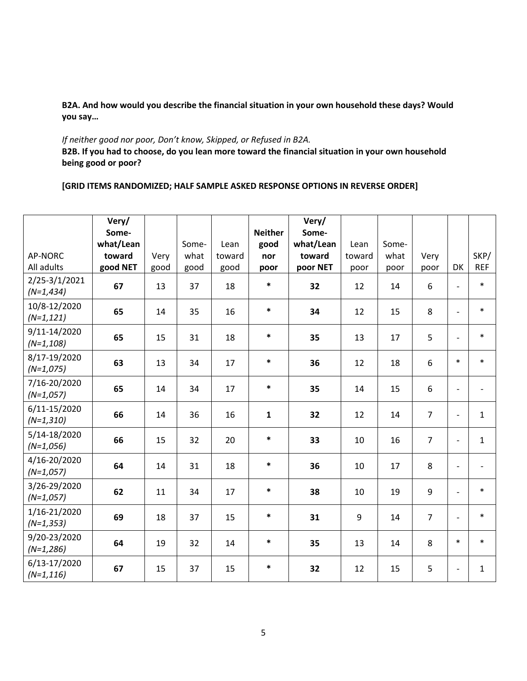**B2A. And how would you describe the financial situation in your own household these days? Would you say…** 

### *If neither good nor poor, Don't know, Skipped, or Refused in B2A.*

**B2B. If you had to choose, do you lean more toward the financial situation in your own household being good or poor?** 

# **[GRID ITEMS RANDOMIZED; HALF SAMPLE ASKED RESPONSE OPTIONS IN REVERSE ORDER]**

|                               | Very/     |      |       |        |                | Very/     |        |       |                |                          |                          |
|-------------------------------|-----------|------|-------|--------|----------------|-----------|--------|-------|----------------|--------------------------|--------------------------|
|                               | Some-     |      |       |        | <b>Neither</b> | Some-     |        |       |                |                          |                          |
|                               | what/Lean |      | Some- | Lean   | good           | what/Lean | Lean   | Some- |                |                          |                          |
| AP-NORC                       | toward    | Very | what  | toward | nor            | toward    | toward | what  | Very           |                          | SKP/                     |
| All adults                    | good NET  | good | good  | good   | poor           | poor NET  | poor   | poor  | poor           | DK                       | <b>REF</b>               |
| 2/25-3/1/2021<br>$(N=1, 434)$ | 67        | 13   | 37    | 18     | $\ast$         | 32        | 12     | 14    | 6              | $\blacksquare$           | $\ast$                   |
| 10/8-12/2020<br>$(N=1, 121)$  | 65        | 14   | 35    | 16     | $\ast$         | 34        | 12     | 15    | 8              | $\overline{a}$           | $\ast$                   |
| 9/11-14/2020<br>$(N=1, 108)$  | 65        | 15   | 31    | 18     | $\ast$         | 35        | 13     | 17    | 5              | ٠                        | $\ast$                   |
| 8/17-19/2020<br>$(N=1,075)$   | 63        | 13   | 34    | 17     | $\ast$         | 36        | 12     | 18    | 6              | $\ast$                   | $\ast$                   |
| 7/16-20/2020<br>$(N=1,057)$   | 65        | 14   | 34    | 17     | $\ast$         | 35        | 14     | 15    | 6              |                          | $\overline{\phantom{a}}$ |
| 6/11-15/2020<br>$(N=1,310)$   | 66        | 14   | 36    | 16     | $\mathbf{1}$   | 32        | 12     | 14    | $\overline{7}$ | $\overline{a}$           | $\mathbf{1}$             |
| 5/14-18/2020<br>$(N=1,056)$   | 66        | 15   | 32    | 20     | $\ast$         | 33        | 10     | 16    | $\overline{7}$ |                          | $\mathbf{1}$             |
| 4/16-20/2020<br>$(N=1,057)$   | 64        | 14   | 31    | 18     | $\ast$         | 36        | 10     | 17    | 8              |                          |                          |
| 3/26-29/2020<br>$(N=1,057)$   | 62        | 11   | 34    | 17     | $\ast$         | 38        | 10     | 19    | 9              | $\overline{a}$           | $\ast$                   |
| 1/16-21/2020<br>$(N=1, 353)$  | 69        | 18   | 37    | 15     | $\ast$         | 31        | 9      | 14    | $\overline{7}$ |                          | $\ast$                   |
| 9/20-23/2020<br>$(N=1,286)$   | 64        | 19   | 32    | 14     | $\ast$         | 35        | 13     | 14    | 8              | $\ast$                   | $\ast$                   |
| 6/13-17/2020<br>$(N=1, 116)$  | 67        | 15   | 37    | 15     | $\ast$         | 32        | 12     | 15    | 5              | $\overline{\phantom{a}}$ | $\mathbf{1}$             |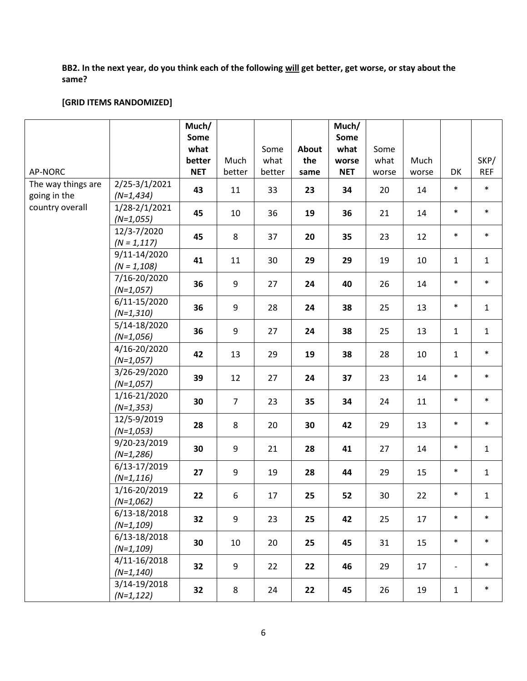# **BB2. In the next year, do you think each of the following will get better, get worse, or stay about the same?**

# **[GRID ITEMS RANDOMIZED]**

|                                    |                                | Much/      |                |        |       | Much/      |       |       |                          |              |
|------------------------------------|--------------------------------|------------|----------------|--------|-------|------------|-------|-------|--------------------------|--------------|
|                                    |                                | Some       |                |        |       | Some       |       |       |                          |              |
|                                    |                                | what       |                | Some   | About | what       | Some  |       |                          |              |
|                                    |                                | better     | Much           | what   | the   | worse      | what  | Much  |                          | SKP/         |
| AP-NORC                            |                                | <b>NET</b> | better         | better | same  | <b>NET</b> | worse | worse | DK                       | <b>REF</b>   |
| The way things are<br>going in the | 2/25-3/1/2021<br>$(N=1, 434)$  | 43         | 11             | 33     | 23    | 34         | 20    | 14    | $\ast$                   | $\ast$       |
| country overall                    | 1/28-2/1/2021<br>$(N=1,055)$   | 45         | 10             | 36     | 19    | 36         | 21    | 14    | $\ast$                   | $\ast$       |
|                                    | 12/3-7/2020<br>$(N = 1, 117)$  | 45         | 8              | 37     | 20    | 35         | 23    | 12    | $\ast$                   | $\ast$       |
|                                    | 9/11-14/2020<br>$(N = 1, 108)$ | 41         | 11             | 30     | 29    | 29         | 19    | 10    | $\mathbf{1}$             | $\mathbf{1}$ |
|                                    | 7/16-20/2020<br>$(N=1,057)$    | 36         | 9              | 27     | 24    | 40         | 26    | 14    | $\ast$                   | $\ast$       |
|                                    | 6/11-15/2020<br>$(N=1,310)$    | 36         | 9              | 28     | 24    | 38         | 25    | 13    | $\ast$                   | $\mathbf{1}$ |
|                                    | 5/14-18/2020<br>$(N=1,056)$    | 36         | 9              | 27     | 24    | 38         | 25    | 13    | $\mathbf{1}$             | $\mathbf{1}$ |
|                                    | 4/16-20/2020<br>$(N=1,057)$    | 42         | 13             | 29     | 19    | 38         | 28    | 10    | $\mathbf 1$              | $\ast$       |
|                                    | 3/26-29/2020<br>$(N=1,057)$    | 39         | 12             | 27     | 24    | 37         | 23    | 14    | $\ast$                   | $\ast$       |
|                                    | 1/16-21/2020<br>$(N=1, 353)$   | 30         | $\overline{7}$ | 23     | 35    | 34         | 24    | 11    | $\ast$                   | $\ast$       |
|                                    | 12/5-9/2019<br>$(N=1,053)$     | 28         | 8              | 20     | 30    | 42         | 29    | 13    | $\ast$                   | $\ast$       |
|                                    | 9/20-23/2019<br>$(N=1,286)$    | 30         | 9              | 21     | 28    | 41         | 27    | 14    | $\ast$                   | $\mathbf{1}$ |
|                                    | 6/13-17/2019<br>$(N=1, 116)$   | 27         | 9              | 19     | 28    | 44         | 29    | 15    | $\ast$                   | $\mathbf{1}$ |
|                                    | 1/16-20/2019<br>$(N=1,062)$    | 22         | 6              | 17     | 25    | 52         | 30    | 22    | $\ast$                   | $\mathbf 1$  |
|                                    | 6/13-18/2018<br>$(N=1, 109)$   | 32         | 9              | 23     | 25    | 42         | 25    | 17    | $\ast$                   | $\ast$       |
|                                    | 6/13-18/2018<br>$(N=1, 109)$   | 30         | 10             | 20     | 25    | 45         | 31    | 15    | $\ast$                   | $\ast$       |
|                                    | 4/11-16/2018<br>$(N=1, 140)$   | 32         | 9              | 22     | 22    | 46         | 29    | 17    | $\overline{\phantom{a}}$ | $\ast$       |
|                                    | 3/14-19/2018<br>$(N=1, 122)$   | 32         | 8              | 24     | 22    | 45         | 26    | 19    | $\mathbf{1}$             | $\ast$       |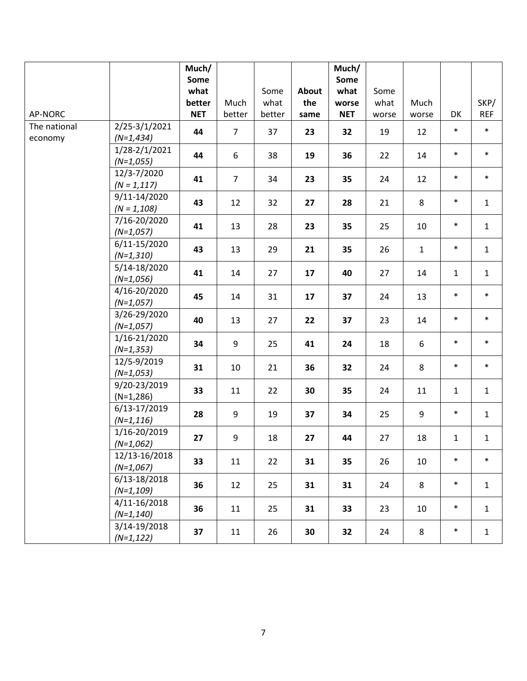|                         |                                | Much/<br>Some<br>what |                | Some           | About       | Much/<br>Some<br>what | Some          |               |              |                    |
|-------------------------|--------------------------------|-----------------------|----------------|----------------|-------------|-----------------------|---------------|---------------|--------------|--------------------|
| AP-NORC                 |                                | better<br><b>NET</b>  | Much<br>better | what<br>better | the<br>same | worse<br><b>NET</b>   | what<br>worse | Much<br>worse | DK           | SKP/<br><b>REF</b> |
| The national<br>economy | 2/25-3/1/2021<br>$(N=1, 434)$  | 44                    | $\overline{7}$ | 37             | 23          | 32                    | 19            | 12            | $\ast$       | $\ast$             |
|                         | 1/28-2/1/2021<br>$(N=1,055)$   | 44                    | 6              | 38             | 19          | 36                    | 22            | 14            | $\ast$       | $\ast$             |
|                         | 12/3-7/2020<br>$(N = 1, 117)$  | 41                    | $\overline{7}$ | 34             | 23          | 35                    | 24            | 12            | $\ast$       | $\ast$             |
|                         | 9/11-14/2020<br>$(N = 1, 108)$ | 43                    | 12             | 32             | 27          | 28                    | 21            | 8             | $\ast$       | $\mathbf{1}$       |
|                         | 7/16-20/2020<br>$(N=1,057)$    | 41                    | 13             | 28             | 23          | 35                    | 25            | 10            | $\ast$       | $\mathbf{1}$       |
|                         | 6/11-15/2020<br>$(N=1,310)$    | 43                    | 13             | 29             | 21          | 35                    | 26            | $\mathbf{1}$  | $\ast$       | $\mathbf{1}$       |
|                         | 5/14-18/2020<br>$(N=1,056)$    | 41                    | 14             | 27             | 17          | 40                    | 27            | 14            | $\mathbf{1}$ | $\mathbf{1}$       |
|                         | 4/16-20/2020<br>$(N=1,057)$    | 45                    | 14             | 31             | 17          | 37                    | 24            | 13            | $\ast$       | $\ast$             |
|                         | 3/26-29/2020<br>$(N=1,057)$    | 40                    | 13             | 27             | 22          | 37                    | 23            | 14            | $\ast$       | $\ast$             |
|                         | 1/16-21/2020<br>$(N=1, 353)$   | 34                    | 9              | 25             | 41          | 24                    | 18            | 6             | $\ast$       | $\ast$             |
|                         | 12/5-9/2019<br>$(N=1,053)$     | 31                    | 10             | 21             | 36          | 32                    | 24            | 8             | $\ast$       | $\ast$             |
|                         | 9/20-23/2019<br>$(N=1,286)$    | 33                    | 11             | 22             | 30          | 35                    | 24            | 11            | $\mathbf{1}$ | $\mathbf{1}$       |
|                         | 6/13-17/2019<br>$(N=1, 116)$   | 28                    | 9              | 19             | 37          | 34                    | 25            | 9             | $\ast$       | $\mathbf{1}$       |
|                         | 1/16-20/2019<br>$(N=1,062)$    | 27                    | 9              | 18             | 27          | 44                    | 27            | 18            | $\mathbf 1$  | $\mathbf{1}$       |
|                         | 12/13-16/2018<br>$(N=1,067)$   | 33                    | 11             | 22             | 31          | 35                    | 26            | 10            | $\ast$       | $\ast$             |
|                         | 6/13-18/2018<br>$(N=1,109)$    | 36                    | 12             | 25             | 31          | 31                    | 24            | 8             | $\ast$       | $\mathbf{1}$       |
|                         | 4/11-16/2018<br>$(N=1, 140)$   | 36                    | 11             | 25             | 31          | 33                    | 23            | 10            | $\ast$       | $\mathbf{1}$       |
|                         | 3/14-19/2018<br>$(N=1, 122)$   | 37                    | 11             | 26             | 30          | 32                    | 24            | 8             | $\ast$       | $\mathbf{1}$       |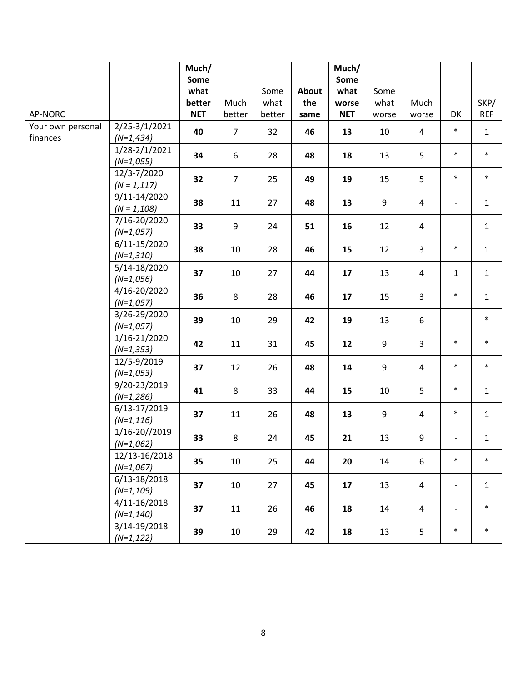|                   |                              | Much/<br>Some |                |        |       | Much/<br>Some |       |                |                          |              |
|-------------------|------------------------------|---------------|----------------|--------|-------|---------------|-------|----------------|--------------------------|--------------|
|                   |                              | what          |                | Some   | About | what          | Some  |                |                          |              |
|                   |                              | better        | Much           | what   | the   | worse         | what  | Much           |                          | SKP/         |
| AP-NORC           |                              | <b>NET</b>    | better         | better | same  | <b>NET</b>    | worse | worse          | DK                       | <b>REF</b>   |
| Your own personal | 2/25-3/1/2021                | 40            | $\overline{7}$ |        | 46    |               |       | $\overline{4}$ | $\ast$                   | $\mathbf{1}$ |
| finances          | $(N=1, 434)$                 |               |                | 32     |       | 13            | 10    |                |                          |              |
|                   | 1/28-2/1/2021                | 34            | 6              | 28     | 48    | 18            | 13    | 5              | $\ast$                   | $\ast$       |
|                   | $(N=1,055)$                  |               |                |        |       |               |       |                |                          |              |
|                   | 12/3-7/2020                  | 32            | $\overline{7}$ | 25     | 49    | 19            | 15    | 5              | $\ast$                   | $\ast$       |
|                   | $(N = 1, 117)$               |               |                |        |       |               |       |                |                          |              |
|                   | 9/11-14/2020                 | 38            | 11             | 27     | 48    | 13            | 9     | $\overline{4}$ | $\overline{\phantom{a}}$ | $\mathbf{1}$ |
|                   | $(N = 1, 108)$               |               |                |        |       |               |       |                |                          |              |
|                   | 7/16-20/2020<br>$(N=1,057)$  | 33            | 9              | 24     | 51    | 16            | 12    | $\overline{4}$ | $\overline{\phantom{0}}$ | $\mathbf{1}$ |
|                   | 6/11-15/2020                 |               |                |        |       |               |       |                |                          |              |
|                   | $(N=1,310)$                  | 38            | 10             | 28     | 46    | 15            | 12    | $\overline{3}$ | $\ast$                   | $\mathbf{1}$ |
|                   | 5/14-18/2020                 | 37            | 10             | 27     | 44    | 17            | 13    | $\overline{4}$ | $\mathbf{1}$             | $\mathbf{1}$ |
|                   | $(N=1,056)$                  |               |                |        |       |               |       |                |                          |              |
|                   | 4/16-20/2020                 | 36            | 8              | 28     | 46    | 17            | 15    | $\overline{3}$ | $\ast$                   | $\mathbf{1}$ |
|                   | $(N=1,057)$                  |               |                |        |       |               |       |                |                          |              |
|                   | 3/26-29/2020<br>$(N=1,057)$  | 39            | 10             | 29     | 42    | 19            | 13    | 6              | $\overline{\phantom{a}}$ | $\ast$       |
|                   | 1/16-21/2020                 |               |                |        |       |               |       |                |                          |              |
|                   | $(N=1, 353)$                 | 42            | 11             | 31     | 45    | 12            | 9     | $\overline{3}$ | $\ast$                   | $\ast$       |
|                   | 12/5-9/2019                  |               |                |        |       |               |       |                |                          |              |
|                   | $(N=1,053)$                  | 37            | 12             | 26     | 48    | 14            | 9     | $\overline{4}$ | $\ast$                   | $\ast$       |
|                   | 9/20-23/2019                 |               |                |        |       |               |       |                | $\ast$                   |              |
|                   | $(N=1,286)$                  | 41            | 8              | 33     | 44    | 15            | 10    | 5              |                          | $\mathbf{1}$ |
|                   | 6/13-17/2019                 | 37            | 11             | 26     | 48    | 13            | 9     | $\overline{4}$ | $\ast$                   | $\mathbf{1}$ |
|                   | $(N=1, 116)$                 |               |                |        |       |               |       |                |                          |              |
|                   | 1/16-20//2019                | 33            | 8              | 24     | 45    | 21            | 13    | 9              |                          | $\mathbf{1}$ |
|                   | $(N=1,062)$                  |               |                |        |       |               |       |                |                          |              |
|                   | 12/13-16/2018<br>$(N=1,067)$ | 35            | 10             | 25     | 44    | 20            | 14    | 6              | $\ast$                   | $\ast$       |
|                   | 6/13-18/2018                 |               |                |        |       |               |       |                |                          |              |
|                   | $(N=1,109)$                  | 37            | 10             | 27     | 45    | 17            | 13    | 4              | $\overline{\phantom{a}}$ | $\mathbf{1}$ |
|                   | 4/11-16/2018                 |               |                |        |       |               |       |                |                          |              |
|                   | $(N=1, 140)$                 | 37            | 11             | 26     | 46    | 18            | 14    | $\overline{4}$ | $\overline{\phantom{a}}$ | $\ast$       |
|                   | 3/14-19/2018                 |               |                |        |       |               |       |                |                          |              |
|                   | $(N=1, 122)$                 | 39            | 10             | 29     | 42    | 18            | 13    | 5              | $\ast$                   | $\ast$       |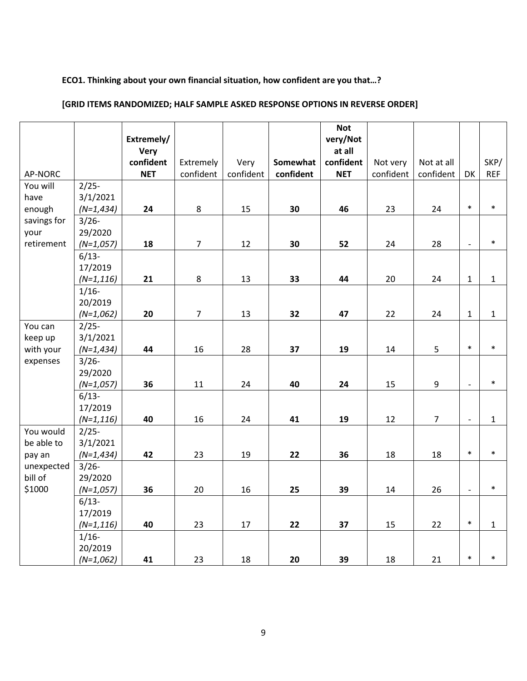#### **ECO1. Thinking about your own financial situation, how confident are you that…?**

#### AP-NORC **Extremely/ Very confident NET** Extremely confident Very confident **Somewhat confident Not very/Not at all confident NET** Not very confident Not at all confident | DK SKP/ REF You will have enough savings for your retirement 2/25- 3/1/2021 *(N=1,434)* **24** 8 15 **30 46** 23 24 \* \* 3/26- 29/2020 *(N=1,057)* **18** 7 12 **30 52** 24 28 - \* 6/13- 17/2019 *(N=1,116)* | 21 | 8 | 13 | 33 | 44 | 20 | 24 |1 | 1 1/16- 20/2019 *(N=1,062)* | 20 | 7 | 13 | 32 | 47 | 22 | 24 |1 | 1 You can keep up with your expenses 2/25- 3/1/2021 *(N=1,434)* **44** 16 28 **37 19** 14 5 \* \* 3/26- 29/2020 *(N=1,057)* **36** 11 24 **40 24** 15 9 - \* 6/13- 17/2019 *(N=1,116)* **40** 16 24 **41 19** 12 7 - 1 You would be able to pay an unexpected bill of \$1000 2/25- 3/1/2021 *(N=1,434)* **42** 23 19 **22 36** 18 18 \* \* 3/26- 29/2020 *(N=1,057)* **36** 20 16 **25 39** 14 26 - \* 6/13- 17/2019 *(N=1,116)* **40** 23 17 **22 37** 15 22 \* 1 1/16- 20/2019 *(N=1,062)* **41** 23 18 **20 39** 18 21 \* \*

### **[GRID ITEMS RANDOMIZED; HALF SAMPLE ASKED RESPONSE OPTIONS IN REVERSE ORDER]**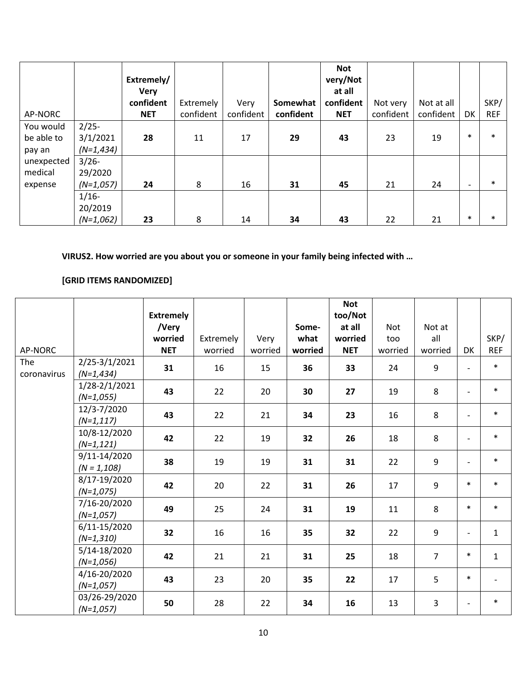| AP-NORC                           |                                     | Extremely/<br><b>Very</b><br>confident<br><b>NET</b> | Extremely<br>confident | Very<br>confident | Somewhat<br>confident | <b>Not</b><br>very/Not<br>at all<br>confident<br><b>NET</b> | Not very<br>confident | Not at all<br>confident | DK                       | SKP/<br><b>REF</b> |
|-----------------------------------|-------------------------------------|------------------------------------------------------|------------------------|-------------------|-----------------------|-------------------------------------------------------------|-----------------------|-------------------------|--------------------------|--------------------|
| You would<br>be able to<br>pay an | $2/25-$<br>3/1/2021<br>$(N=1, 434)$ | 28                                                   | 11                     | 17                | 29                    | 43                                                          | 23                    | 19                      | $\ast$                   | $\ast$             |
| unexpected<br>medical<br>expense  | $3/26 -$<br>29/2020<br>$(N=1,057)$  | 24                                                   | 8                      | 16                | 31                    | 45                                                          | 21                    | 24                      | $\overline{\phantom{0}}$ | $\ast$             |
|                                   | $1/16-$<br>20/2019<br>$(N=1,062)$   | 23                                                   | 8                      | 14                | 34                    | 43                                                          | 22                    | 21                      | $\ast$                   | $\ast$             |

**VIRUS2. How worried are you about you or someone in your family being infected with …** 

# **[GRID ITEMS RANDOMIZED]**

|                    |                                | <b>Extremely</b> |           |         |         | <b>Not</b><br>too/Not |            |                |                          |              |
|--------------------|--------------------------------|------------------|-----------|---------|---------|-----------------------|------------|----------------|--------------------------|--------------|
|                    |                                | /Very            |           |         | Some-   | at all                | <b>Not</b> | Not at         |                          |              |
|                    |                                | worried          | Extremely | Very    | what    | worried               | too        | all            |                          | SKP/         |
| AP-NORC            |                                | <b>NET</b>       | worried   | worried | worried | <b>NET</b>            | worried    | worried        | DK                       | <b>REF</b>   |
| The<br>coronavirus | 2/25-3/1/2021<br>$(N=1, 434)$  | 31               | 16        | 15      | 36      | 33                    | 24         | 9              | $\overline{\phantom{a}}$ | $\ast$       |
|                    | 1/28-2/1/2021<br>$(N=1,055)$   | 43               | 22        | 20      | 30      | 27                    | 19         | 8              | $\overline{\phantom{a}}$ | $\ast$       |
|                    | 12/3-7/2020<br>$(N=1, 117)$    | 43               | 22        | 21      | 34      | 23                    | 16         | $\,8\,$        | $\overline{\phantom{a}}$ | $\ast$       |
|                    | 10/8-12/2020<br>$(N=1, 121)$   | 42               | 22        | 19      | 32      | 26                    | 18         | 8              | $\overline{\phantom{a}}$ | $\ast$       |
|                    | 9/11-14/2020<br>$(N = 1, 108)$ | 38               | 19        | 19      | 31      | 31                    | 22         | 9              | $\overline{\phantom{a}}$ | $\ast$       |
|                    | 8/17-19/2020<br>$(N=1,075)$    | 42               | 20        | 22      | 31      | 26                    | 17         | 9              | $\ast$                   | $\ast$       |
|                    | 7/16-20/2020<br>$(N=1,057)$    | 49               | 25        | 24      | 31      | 19                    | 11         | 8              | $\ast$                   | $\ast$       |
|                    | 6/11-15/2020<br>$(N=1,310)$    | 32               | 16        | 16      | 35      | 32                    | 22         | 9              | $\overline{\phantom{a}}$ | $\mathbf{1}$ |
|                    | 5/14-18/2020<br>$(N=1,056)$    | 42               | 21        | 21      | 31      | 25                    | 18         | $\overline{7}$ | $\ast$                   | $\mathbf{1}$ |
|                    | 4/16-20/2020<br>$(N=1,057)$    | 43               | 23        | 20      | 35      | 22                    | 17         | 5              | $\ast$                   |              |
|                    | 03/26-29/2020<br>$(N=1,057)$   | 50               | 28        | 22      | 34      | 16                    | 13         | 3              | $\overline{\phantom{a}}$ | $\ast$       |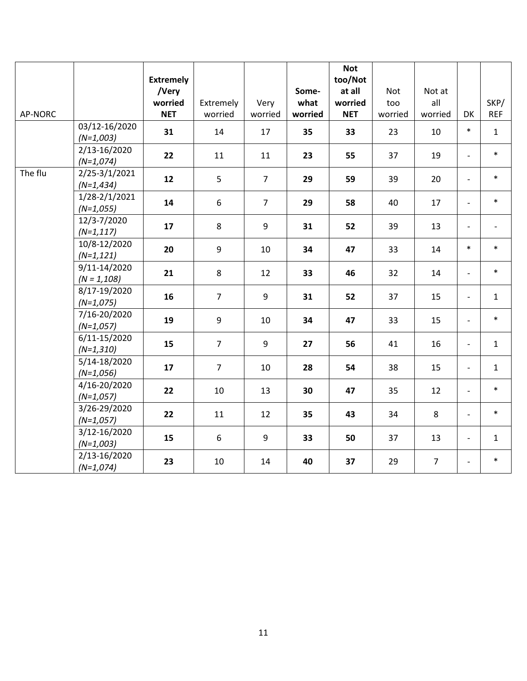|         |                                | <b>Extremely</b> |                |                |         | <b>Not</b><br>too/Not |         |                |                          |              |
|---------|--------------------------------|------------------|----------------|----------------|---------|-----------------------|---------|----------------|--------------------------|--------------|
|         |                                | /Very            |                |                | Some-   | at all                | Not     | Not at         |                          |              |
|         |                                | worried          | Extremely      | Very           | what    | worried               | too     | all            |                          | SKP/         |
| AP-NORC |                                | <b>NET</b>       | worried        | worried        | worried | <b>NET</b>            | worried | worried        | DK                       | <b>REF</b>   |
|         | 03/12-16/2020<br>$(N=1,003)$   | 31               | 14             | 17             | 35      | 33                    | 23      | 10             | $\ast$                   | $\mathbf{1}$ |
|         | 2/13-16/2020<br>$(N=1,074)$    | 22               | 11             | 11             | 23      | 55                    | 37      | 19             | $\overline{\phantom{0}}$ | $\ast$       |
| The flu | 2/25-3/1/2021<br>$(N=1, 434)$  | 12               | 5              | $\overline{7}$ | 29      | 59                    | 39      | 20             | $\overline{a}$           | $\ast$       |
|         | 1/28-2/1/2021<br>$(N=1,055)$   | 14               | 6              | $\overline{7}$ | 29      | 58                    | 40      | 17             | $\overline{a}$           | $\ast$       |
|         | 12/3-7/2020<br>$(N=1, 117)$    | 17               | 8              | 9              | 31      | 52                    | 39      | 13             | $\frac{1}{2}$            |              |
|         | 10/8-12/2020<br>$(N=1, 121)$   | 20               | 9              | 10             | 34      | 47                    | 33      | 14             | $\ast$                   | $\ast$       |
|         | 9/11-14/2020<br>$(N = 1, 108)$ | 21               | 8              | 12             | 33      | 46                    | 32      | 14             | $\overline{\phantom{0}}$ | $\ast$       |
|         | 8/17-19/2020<br>$(N=1,075)$    | 16               | $\overline{7}$ | 9              | 31      | 52                    | 37      | 15             | $\overline{\phantom{0}}$ | $\mathbf{1}$ |
|         | 7/16-20/2020<br>$(N=1,057)$    | 19               | $\mathsf g$    | 10             | 34      | 47                    | 33      | 15             | $\overline{a}$           | $\ast$       |
|         | 6/11-15/2020<br>$(N=1,310)$    | 15               | $\overline{7}$ | 9              | 27      | 56                    | 41      | 16             | $\overline{\phantom{0}}$ | $\mathbf{1}$ |
|         | 5/14-18/2020<br>$(N=1,056)$    | 17               | $\overline{7}$ | 10             | 28      | 54                    | 38      | 15             | $\overline{a}$           | $\mathbf{1}$ |
|         | 4/16-20/2020<br>$(N=1,057)$    | 22               | 10             | 13             | 30      | 47                    | 35      | 12             | $\overline{\phantom{0}}$ | $\ast$       |
|         | 3/26-29/2020<br>$(N=1,057)$    | 22               | 11             | 12             | 35      | 43                    | 34      | 8              | $\frac{1}{2}$            | $\ast$       |
|         | 3/12-16/2020<br>$(N=1,003)$    | 15               | 6              | 9              | 33      | 50                    | 37      | 13             | $\overline{\phantom{0}}$ | $\mathbf{1}$ |
|         | 2/13-16/2020<br>$(N=1,074)$    | 23               | 10             | 14             | 40      | 37                    | 29      | $\overline{7}$ | $\frac{1}{2}$            | $\ast$       |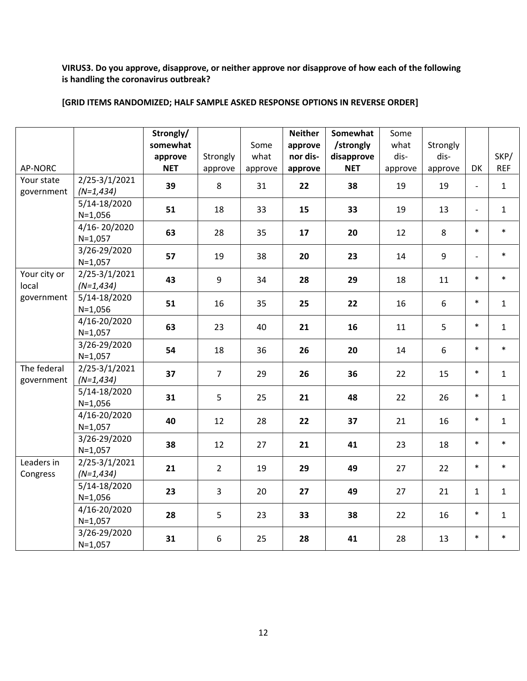# **VIRUS3. Do you approve, disapprove, or neither approve nor disapprove of how each of the following is handling the coronavirus outbreak?**

# **[GRID ITEMS RANDOMIZED; HALF SAMPLE ASKED RESPONSE OPTIONS IN REVERSE ORDER]**

|                                     |                               | Strongly/<br>somewhat<br>approve | Strongly         | Some<br>what  | <b>Neither</b><br>approve<br>nor dis- | Somewhat<br>/strongly<br>disapprove | Some<br>what<br>dis- | Strongly<br>dis- |                                | SKP/                       |
|-------------------------------------|-------------------------------|----------------------------------|------------------|---------------|---------------------------------------|-------------------------------------|----------------------|------------------|--------------------------------|----------------------------|
| AP-NORC<br>Your state<br>government | 2/25-3/1/2021<br>$(N=1, 434)$ | <b>NET</b><br>39                 | approve<br>8     | approve<br>31 | approve<br>22                         | <b>NET</b><br>38                    | approve<br>19        | approve<br>19    | DK<br>$\overline{\phantom{a}}$ | <b>REF</b><br>$\mathbf{1}$ |
|                                     | 5/14-18/2020<br>$N=1,056$     | 51                               | 18               | 33            | 15                                    | 33                                  | 19                   | 13               | $\blacksquare$                 | $\mathbf{1}$               |
|                                     | 4/16-20/2020<br>$N=1,057$     | 63                               | 28               | 35            | 17                                    | 20                                  | 12                   | 8                | $\ast$                         | $\ast$                     |
|                                     | 3/26-29/2020<br>$N=1,057$     | 57                               | 19               | 38            | 20                                    | 23                                  | 14                   | 9                | $\overline{a}$                 | $\ast$                     |
| Your city or<br>local               | 2/25-3/1/2021<br>$(N=1, 434)$ | 43                               | 9                | 34            | 28                                    | 29                                  | 18                   | 11               | $\ast$                         | $\ast$                     |
| government                          | 5/14-18/2020<br>$N=1,056$     | 51                               | 16               | 35            | 25                                    | 22                                  | 16                   | 6                | $\ast$                         | $\mathbf{1}$               |
|                                     | 4/16-20/2020<br>$N=1,057$     | 63                               | 23               | 40            | 21                                    | 16                                  | 11                   | 5                | $\ast$                         | $\mathbf{1}$               |
|                                     | 3/26-29/2020<br>$N=1,057$     | 54                               | 18               | 36            | 26                                    | 20                                  | 14                   | 6                | $\ast$                         | $\ast$                     |
| The federal<br>government           | 2/25-3/1/2021<br>$(N=1, 434)$ | 37                               | $\overline{7}$   | 29            | 26                                    | 36                                  | 22                   | 15               | $\ast$                         | $\mathbf{1}$               |
|                                     | 5/14-18/2020<br>$N=1,056$     | 31                               | 5                | 25            | 21                                    | 48                                  | 22                   | 26               | $\ast$                         | $\mathbf{1}$               |
|                                     | 4/16-20/2020<br>$N=1,057$     | 40                               | 12               | 28            | 22                                    | 37                                  | 21                   | 16               | $\ast$                         | $\mathbf{1}$               |
|                                     | 3/26-29/2020<br>$N=1,057$     | 38                               | 12               | 27            | 21                                    | 41                                  | 23                   | 18               | $\ast$                         | $\ast$                     |
| Leaders in<br>Congress              | 2/25-3/1/2021<br>$(N=1, 434)$ | 21                               | $\overline{2}$   | 19            | 29                                    | 49                                  | 27                   | 22               | $\ast$                         | $\ast$                     |
|                                     | 5/14-18/2020<br>$N=1,056$     | 23                               | 3                | 20            | 27                                    | 49                                  | 27                   | 21               | $\mathbf{1}$                   | $\mathbf{1}$               |
|                                     | 4/16-20/2020<br>$N=1,057$     | 28                               | 5                | 23            | 33                                    | 38                                  | 22                   | 16               | $\ast$                         | $\mathbf{1}$               |
|                                     | 3/26-29/2020<br>$N=1,057$     | 31                               | $\boldsymbol{6}$ | 25            | 28                                    | 41                                  | 28                   | 13               | $\ast$                         | $\ast$                     |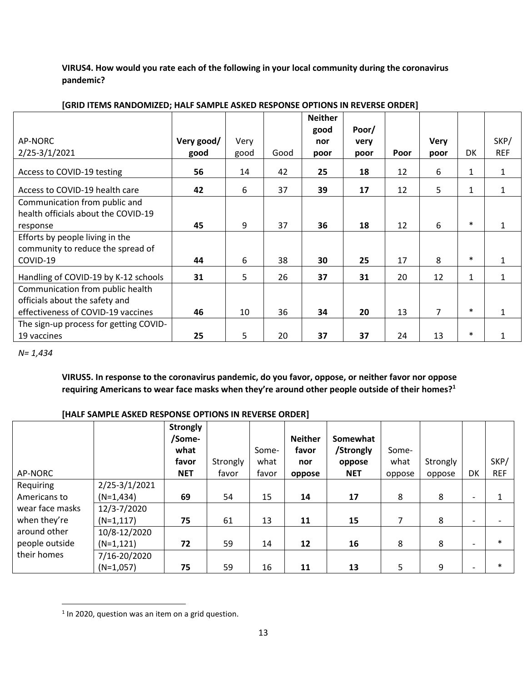**VIRUS4. How would you rate each of the following in your local community during the coronavirus pandemic?**

|                                        |            |      |      | <b>Neither</b> |       |      |             |        |              |
|----------------------------------------|------------|------|------|----------------|-------|------|-------------|--------|--------------|
|                                        |            |      |      | good           | Poor/ |      |             |        |              |
| AP-NORC                                | Very good/ | Very |      | nor            | very  |      | <b>Very</b> |        | SKP/         |
| 2/25-3/1/2021                          | good       | good | Good | poor           | poor  | Poor | poor        | DK     | <b>REF</b>   |
| Access to COVID-19 testing             | 56         | 14   | 42   | 25             | 18    | 12   | 6           | 1      | 1            |
| Access to COVID-19 health care         | 42         | 6    | 37   | 39             | 17    | 12   | 5           | 1      | 1            |
| Communication from public and          |            |      |      |                |       |      |             |        |              |
| health officials about the COVID-19    |            |      |      |                |       |      |             |        |              |
| response                               | 45         | 9    | 37   | 36             | 18    | 12   | 6           | $\ast$ | 1            |
| Efforts by people living in the        |            |      |      |                |       |      |             |        |              |
| community to reduce the spread of      |            |      |      |                |       |      |             |        |              |
| COVID-19                               | 44         | 6    | 38   | 30             | 25    | 17   | 8           | $\ast$ | $\mathbf{1}$ |
| Handling of COVID-19 by K-12 schools   | 31         | 5    | 26   | 37             | 31    | 20   | 12          | 1      | $\mathbf{1}$ |
| Communication from public health       |            |      |      |                |       |      |             |        |              |
| officials about the safety and         |            |      |      |                |       |      |             |        |              |
| effectiveness of COVID-19 vaccines     | 46         | 10   | 36   | 34             | 20    | 13   | 7           | $\ast$ | 1            |
| The sign-up process for getting COVID- |            |      |      |                |       |      |             |        |              |
| 19 vaccines                            | 25         | 5    | 20   | 37             | 37    | 24   | 13          | $\ast$ | 1            |

### **[GRID ITEMS RANDOMIZED; HALF SAMPLE ASKED RESPONSE OPTIONS IN REVERSE ORDER]**

*N= 1,434*

**VIRUS5. In response to the coronavirus pandemic, do you favor, oppose, or neither favor nor oppose requiring Americans to wear face masks when they're around other people outside of their homes?<sup>1</sup>**

### **[HALF SAMPLE ASKED RESPONSE OPTIONS IN REVERSE ORDER]**

| AP-NORC         |               | <b>Strongly</b><br>/Some-<br>what<br>favor<br><b>NET</b> | Strongly<br>favor | Some-<br>what<br>favor | <b>Neither</b><br>favor<br>nor | Somewhat<br>/Strongly<br>oppose<br><b>NET</b> | Some-<br>what<br>oppose | Strongly<br>oppose | DK                       | SKP/<br><b>REF</b> |
|-----------------|---------------|----------------------------------------------------------|-------------------|------------------------|--------------------------------|-----------------------------------------------|-------------------------|--------------------|--------------------------|--------------------|
| Requiring       | 2/25-3/1/2021 |                                                          |                   |                        | oppose                         |                                               |                         |                    |                          |                    |
|                 |               |                                                          |                   |                        |                                |                                               |                         |                    |                          |                    |
| Americans to    | $(N=1,434)$   | 69                                                       | 54                | 15                     | 14                             | 17                                            | 8                       | 8                  |                          |                    |
| wear face masks | 12/3-7/2020   |                                                          |                   |                        |                                |                                               |                         |                    |                          |                    |
| when they're    | $(N=1, 117)$  | 75                                                       | 61                | 13                     | 11                             | 15                                            | $\overline{7}$          | 8                  | $\overline{\phantom{0}}$ |                    |
| around other    | 10/8-12/2020  |                                                          |                   |                        |                                |                                               |                         |                    |                          |                    |
| people outside  | $(N=1, 121)$  | 72                                                       | 59                | 14                     | 12                             | 16                                            | 8                       | 8                  | -                        | $\ast$             |
| their homes     | 7/16-20/2020  |                                                          |                   |                        |                                |                                               |                         |                    |                          |                    |
|                 | $(N=1,057)$   | 75                                                       | 59                | 16                     | 11                             | 13                                            | 5                       | 9                  |                          | $\ast$             |

 $1$  In 2020, question was an item on a grid question.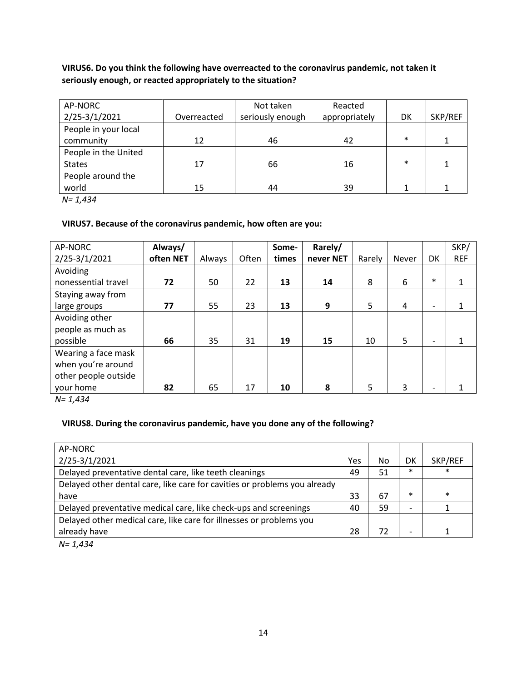**VIRUS6. Do you think the following have overreacted to the coronavirus pandemic, not taken it seriously enough, or reacted appropriately to the situation?**

| AP-NORC              |             | Not taken        | Reacted       |        |         |
|----------------------|-------------|------------------|---------------|--------|---------|
| 2/25-3/1/2021        | Overreacted | seriously enough | appropriately | DK     | SKP/REF |
| People in your local |             |                  |               |        |         |
| community            | 12          | 46               | 42            | $\ast$ |         |
| People in the United |             |                  |               |        |         |
| <b>States</b>        | 17          | 66               | 16            | $\ast$ |         |
| People around the    |             |                  |               |        |         |
| world                | 15          | 44               | 39            |        |         |

*N= 1,434*

# **VIRUS7. Because of the coronavirus pandemic, how often are you:**

| AP-NORC              | Always/   |        |       | Some- | Rarely/   |        |       |                          | SKP/       |
|----------------------|-----------|--------|-------|-------|-----------|--------|-------|--------------------------|------------|
| 2/25-3/1/2021        | often NET | Always | Often | times | never NET | Rarely | Never | <b>DK</b>                | <b>REF</b> |
| Avoiding             |           |        |       |       |           |        |       |                          |            |
| nonessential travel  | 72        | 50     | 22    | 13    | 14        | 8      | 6     | $\ast$                   |            |
| Staying away from    |           |        |       |       |           |        |       |                          |            |
| large groups         | 77        | 55     | 23    | 13    | 9         | 5      | 4     | $\overline{\phantom{a}}$ |            |
| Avoiding other       |           |        |       |       |           |        |       |                          |            |
| people as much as    |           |        |       |       |           |        |       |                          |            |
| possible             | 66        | 35     | 31    | 19    | 15        | 10     | 5     | $\overline{\phantom{0}}$ |            |
| Wearing a face mask  |           |        |       |       |           |        |       |                          |            |
| when you're around   |           |        |       |       |           |        |       |                          |            |
| other people outside |           |        |       |       |           |        |       |                          |            |
| your home            | 82        | 65     | 17    | 10    | 8         | 5      | 3     |                          |            |

*N= 1,434*

### **VIRUS8. During the coronavirus pandemic, have you done any of the following?**

| Yes | No | DK                       | SKP/REF |
|-----|----|--------------------------|---------|
| 49  | 51 | $\ast$                   | ∗       |
|     |    |                          |         |
| 33  | 67 | $\ast$                   | $\ast$  |
| 40  | 59 |                          |         |
|     |    |                          |         |
| 28  | 72 | $\overline{\phantom{0}}$ |         |
|     |    |                          |         |

*N= 1,434*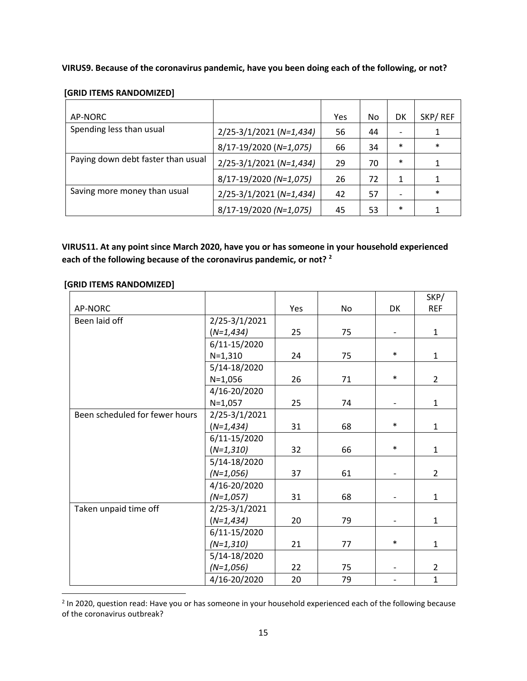**VIRUS9. Because of the coronavirus pandemic, have you been doing each of the following, or not?**

|  |  | [GRID ITEMS RANDOMIZED] |
|--|--|-------------------------|
|--|--|-------------------------|

| AP-NORC                            |                             | Yes | No | DK                       | SKP/REF |
|------------------------------------|-----------------------------|-----|----|--------------------------|---------|
| Spending less than usual           | 2/25-3/1/2021 (N=1,434)     | 56  | 44 | $\overline{\phantom{a}}$ |         |
|                                    | 8/17-19/2020 (N=1,075)      | 66  | 34 | $\ast$                   | $\ast$  |
| Paying down debt faster than usual | 2/25-3/1/2021 (N=1,434)     | 29  | 70 | $\ast$                   |         |
|                                    | 8/17-19/2020 (N=1,075)      | 26  | 72 | 1                        |         |
| Saving more money than usual       | $2/25 - 3/1/2021$ (N=1,434) | 42  | 57 | $\overline{\phantom{a}}$ | $\ast$  |
|                                    | 8/17-19/2020 (N=1,075)      | 45  | 53 | $\ast$                   |         |

**VIRUS11. At any point since March 2020, have you or has someone in your household experienced each of the following because of the coronavirus pandemic, or not? <sup>2</sup>**

|                                |               |     |    |                          | SKP/           |
|--------------------------------|---------------|-----|----|--------------------------|----------------|
| AP-NORC                        |               | Yes | No | <b>DK</b>                | <b>REF</b>     |
| Been laid off                  | 2/25-3/1/2021 |     |    |                          |                |
|                                | $(N=1, 434)$  | 25  | 75 | $\overline{\phantom{a}}$ | $\mathbf{1}$   |
|                                | 6/11-15/2020  |     |    |                          |                |
|                                | $N=1,310$     | 24  | 75 | $\ast$                   | $\mathbf{1}$   |
|                                | 5/14-18/2020  |     |    |                          |                |
|                                | $N=1,056$     | 26  | 71 | $\ast$                   | $\overline{2}$ |
|                                | 4/16-20/2020  |     |    |                          |                |
|                                | $N=1,057$     | 25  | 74 | $\overline{\phantom{a}}$ | $\mathbf{1}$   |
| Been scheduled for fewer hours | 2/25-3/1/2021 |     |    |                          |                |
|                                | $(N=1, 434)$  | 31  | 68 | $\ast$                   | $\mathbf{1}$   |
|                                | 6/11-15/2020  |     |    |                          |                |
|                                | $(N=1,310)$   | 32  | 66 | $\ast$                   | $\mathbf{1}$   |
|                                | 5/14-18/2020  |     |    |                          |                |
|                                | $(N=1,056)$   | 37  | 61 |                          | $\overline{2}$ |
|                                | 4/16-20/2020  |     |    |                          |                |
|                                | $(N=1,057)$   | 31  | 68 |                          | $\mathbf{1}$   |
| Taken unpaid time off          | 2/25-3/1/2021 |     |    |                          |                |
|                                | $(N=1, 434)$  | 20  | 79 |                          | $\mathbf{1}$   |
|                                | 6/11-15/2020  |     |    |                          |                |
|                                | $(N=1,310)$   | 21  | 77 | $\ast$                   | $\mathbf 1$    |
|                                | 5/14-18/2020  |     |    |                          |                |
|                                | $(N=1,056)$   | 22  | 75 |                          | $\overline{2}$ |
|                                | 4/16-20/2020  | 20  | 79 |                          | $\mathbf{1}$   |

 $2$  In 2020, question read: Have you or has someone in your household experienced each of the following because of the coronavirus outbreak?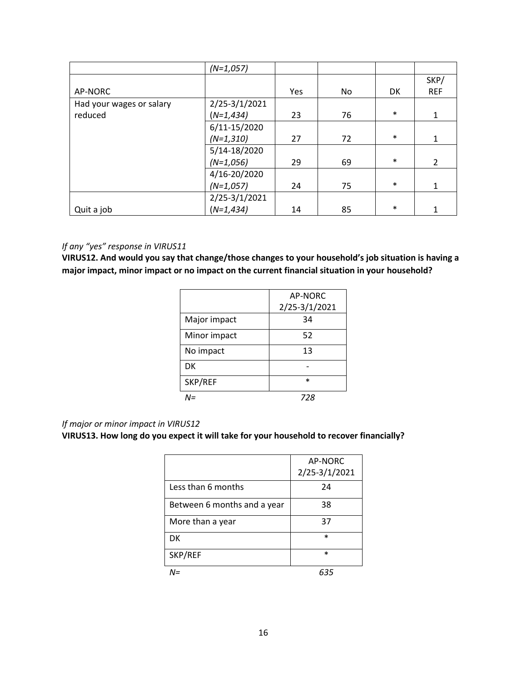|                          | $(N=1,057)$   |     |    |           |                |
|--------------------------|---------------|-----|----|-----------|----------------|
|                          |               |     |    |           | SKP/           |
| AP-NORC                  |               | Yes | No | <b>DK</b> | <b>REF</b>     |
| Had your wages or salary | 2/25-3/1/2021 |     |    |           |                |
| reduced                  | $(N=1, 434)$  | 23  | 76 | $\ast$    | 1              |
|                          | 6/11-15/2020  |     |    |           |                |
|                          | $(N=1,310)$   | 27  | 72 | $\ast$    | 1              |
|                          | 5/14-18/2020  |     |    |           |                |
|                          | $(N=1,056)$   | 29  | 69 | $\ast$    | $\overline{2}$ |
|                          | 4/16-20/2020  |     |    |           |                |
|                          | $(N=1,057)$   | 24  | 75 | $\ast$    | 1              |
|                          | 2/25-3/1/2021 |     |    |           |                |
| Quit a job               | $(N=1, 434)$  | 14  | 85 | $\ast$    | 1              |

# *If any "yes" response in VIRUS11*

**VIRUS12. And would you say that change/those changes to your household's job situation is having a major impact, minor impact or no impact on the current financial situation in your household?**

|              | AP-NORC       |
|--------------|---------------|
|              | 2/25-3/1/2021 |
| Major impact | 34            |
| Minor impact | 52            |
| No impact    | 13            |
| DK           |               |
| SKP/REF      | *             |
|              | 728           |

# *If major or minor impact in VIRUS12*

# **VIRUS13. How long do you expect it will take for your household to recover financially?**

|                             | AP-NORC       |
|-----------------------------|---------------|
|                             | 2/25-3/1/2021 |
| Less than 6 months          | 24            |
| Between 6 months and a year | 38            |
| More than a year            | 37            |
| DK                          | $\ast$        |
| SKP/REF                     | $\ast$        |
| N=                          | 635           |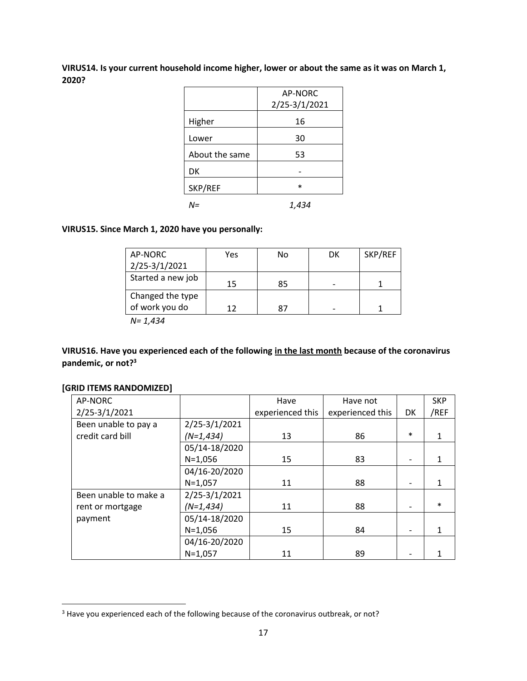**VIRUS14. Is your current household income higher, lower or about the same as it was on March 1, 2020?**

|                | AP-NORC<br>2/25-3/1/2021 |
|----------------|--------------------------|
| Higher         | 16                       |
| Lower          | 30                       |
| About the same | 53                       |
| DK             |                          |
| SKP/REF        | $\ast$                   |
| N=             | 1,434                    |

### **VIRUS15. Since March 1, 2020 have you personally:**

| AP-NORC           | Yes | No | DK | SKP/REF |
|-------------------|-----|----|----|---------|
| 2/25-3/1/2021     |     |    |    |         |
| Started a new job | 15  | 85 |    |         |
| Changed the type  |     |    |    |         |
| of work you do    | 17  | 87 |    |         |
| $\cdots$<br>.     |     |    |    |         |

*N= 1,434*

**VIRUS16. Have you experienced each of the following in the last month because of the coronavirus pandemic, or not?<sup>3</sup>**

### **[GRID ITEMS RANDOMIZED]**

| AP-NORC               |               | Have             | Have not         |           | <b>SKP</b> |
|-----------------------|---------------|------------------|------------------|-----------|------------|
| 2/25-3/1/2021         |               | experienced this | experienced this | <b>DK</b> | /REF       |
| Been unable to pay a  | 2/25-3/1/2021 |                  |                  |           |            |
| credit card bill      | $(N=1, 434)$  | 13               | 86               | $\ast$    |            |
|                       | 05/14-18/2020 |                  |                  |           |            |
|                       | $N = 1,056$   | 15               | 83               |           |            |
|                       | 04/16-20/2020 |                  |                  |           |            |
|                       | $N=1,057$     | 11               | 88               |           |            |
| Been unable to make a | 2/25-3/1/2021 |                  |                  |           |            |
| rent or mortgage      | $(N=1, 434)$  | 11               | 88               |           | $\ast$     |
| payment               | 05/14-18/2020 |                  |                  |           |            |
|                       | $N = 1,056$   | 15               | 84               |           |            |
|                       | 04/16-20/2020 |                  |                  |           |            |
|                       | $N = 1,057$   | 11               | 89               |           |            |

<sup>&</sup>lt;sup>3</sup> Have you experienced each of the following because of the coronavirus outbreak, or not?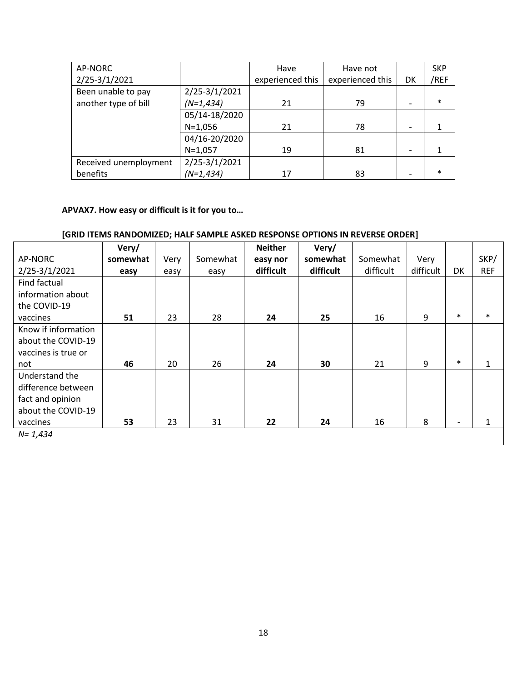| AP-NORC               |               | Have             | Have not         |    | <b>SKP</b> |
|-----------------------|---------------|------------------|------------------|----|------------|
| 2/25-3/1/2021         |               | experienced this | experienced this | DK | /REF       |
| Been unable to pay    | 2/25-3/1/2021 |                  |                  |    |            |
| another type of bill  | $(N=1, 434)$  | 21               | 79               |    | $\ast$     |
|                       | 05/14-18/2020 |                  |                  |    |            |
|                       | $N=1,056$     | 21               | 78               |    |            |
|                       | 04/16-20/2020 |                  |                  |    |            |
|                       | $N=1,057$     | 19               | 81               |    |            |
| Received unemployment | 2/25-3/1/2021 |                  |                  |    |            |
| benefits              | $(N=1, 434)$  | 17               | 83               |    | $\ast$     |

# **APVAX7. How easy or difficult is it for you to…**

# **[GRID ITEMS RANDOMIZED; HALF SAMPLE ASKED RESPONSE OPTIONS IN REVERSE ORDER]**

|                     | Very/    |      |          | <b>Neither</b> | Very/     |           |           |        |            |
|---------------------|----------|------|----------|----------------|-----------|-----------|-----------|--------|------------|
| AP-NORC             | somewhat | Very | Somewhat | easy nor       | somewhat  | Somewhat  | Very      |        | SKP/       |
| 2/25-3/1/2021       | easy     | easy | easy     | difficult      | difficult | difficult | difficult | DK     | <b>REF</b> |
| Find factual        |          |      |          |                |           |           |           |        |            |
| information about   |          |      |          |                |           |           |           |        |            |
| the COVID-19        |          |      |          |                |           |           |           |        |            |
| vaccines            | 51       | 23   | 28       | 24             | 25        | 16        | 9         | $\ast$ | $\ast$     |
| Know if information |          |      |          |                |           |           |           |        |            |
| about the COVID-19  |          |      |          |                |           |           |           |        |            |
| vaccines is true or |          |      |          |                |           |           |           |        |            |
| not                 | 46       | 20   | 26       | 24             | 30        | 21        | 9         | $\ast$ |            |
| Understand the      |          |      |          |                |           |           |           |        |            |
| difference between  |          |      |          |                |           |           |           |        |            |
| fact and opinion    |          |      |          |                |           |           |           |        |            |
| about the COVID-19  |          |      |          |                |           |           |           |        |            |
| vaccines            | 53       | 23   | 31       | 22             | 24        | 16        | 8         |        |            |

*N= 1,434*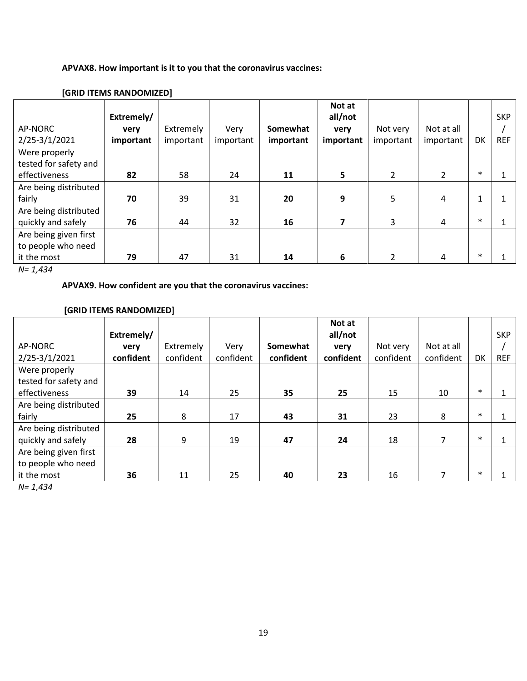# **APVAX8. How important is it to you that the coronavirus vaccines:**

|                       |            |           |           |           | Not at    |           |            |           |            |
|-----------------------|------------|-----------|-----------|-----------|-----------|-----------|------------|-----------|------------|
|                       | Extremely/ |           |           |           | all/not   |           |            |           | <b>SKP</b> |
| AP-NORC               | very       | Extremely | Very      | Somewhat  | very      | Not very  | Not at all |           |            |
| 2/25-3/1/2021         | important  | important | important | important | important | important | important  | <b>DK</b> | <b>REF</b> |
| Were properly         |            |           |           |           |           |           |            |           |            |
| tested for safety and |            |           |           |           |           |           |            |           |            |
| effectiveness         | 82         | 58        | 24        | 11        | 5         | 2         | 2          | $\ast$    |            |
| Are being distributed |            |           |           |           |           |           |            |           |            |
| fairly                | 70         | 39        | 31        | 20        | 9         | 5         | 4          | 1         |            |
| Are being distributed |            |           |           |           |           |           |            |           |            |
| quickly and safely    | 76         | 44        | 32        | 16        |           | 3         | 4          | $\ast$    |            |
| Are being given first |            |           |           |           |           |           |            |           |            |
| to people who need    |            |           |           |           |           |           |            |           |            |
| it the most           | 79         | 47        | 31        | 14        | 6         | 2         | 4          | $\ast$    |            |

# **[GRID ITEMS RANDOMIZED]**

*N= 1,434*

# **APVAX9. How confident are you that the coronavirus vaccines:**

# **[GRID ITEMS RANDOMIZED]**

|                       |            |           |           |           | Not at    |           |            |        |            |
|-----------------------|------------|-----------|-----------|-----------|-----------|-----------|------------|--------|------------|
|                       | Extremely/ |           |           |           | all/not   |           |            |        | <b>SKP</b> |
| AP-NORC               | very       | Extremely | Very      | Somewhat  | very      | Not very  | Not at all |        |            |
| 2/25-3/1/2021         | confident  | confident | confident | confident | confident | confident | confident  | DK     | <b>REF</b> |
| Were properly         |            |           |           |           |           |           |            |        |            |
| tested for safety and |            |           |           |           |           |           |            |        |            |
| effectiveness         | 39         | 14        | 25        | 35        | 25        | 15        | 10         | $\ast$ |            |
| Are being distributed |            |           |           |           |           |           |            |        |            |
| fairly                | 25         | 8         | 17        | 43        | 31        | 23        | 8          | $\ast$ |            |
| Are being distributed |            |           |           |           |           |           |            |        |            |
| quickly and safely    | 28         | 9         | 19        | 47        | 24        | 18        |            | $\ast$ |            |
| Are being given first |            |           |           |           |           |           |            |        |            |
| to people who need    |            |           |           |           |           |           |            |        |            |
| it the most           | 36         | 11        | 25        | 40        | 23        | 16        |            | $\ast$ |            |

*N= 1,434*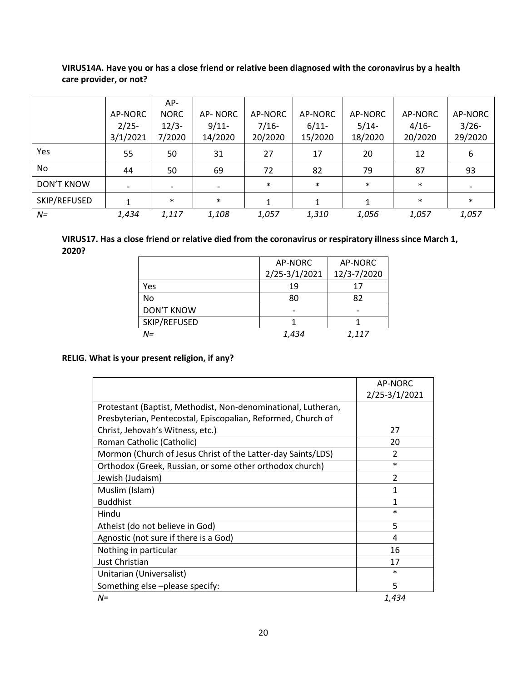# **VIRUS14A. Have you or has a close friend or relative been diagnosed with the coronavirus by a health care provider, or not?**

|              |          | $AP-$       |          |         |          |         |         |          |
|--------------|----------|-------------|----------|---------|----------|---------|---------|----------|
|              | AP-NORC  | <b>NORC</b> | AP-NORC  | AP-NORC | AP-NORC  | AP-NORC | AP-NORC | AP-NORC  |
|              | $2/25-$  | $12/3-$     | $9/11$ - | $7/16-$ | $6/11$ - | $5/14-$ | $4/16-$ | $3/26 -$ |
|              | 3/1/2021 | 7/2020      | 14/2020  | 20/2020 | 15/2020  | 18/2020 | 20/2020 | 29/2020  |
| Yes          | 55       | 50          | 31       | 27      | 17       | 20      | 12      | 6        |
| No           | 44       | 50          | 69       | 72      | 82       | 79      | 87      | 93       |
| DON'T KNOW   |          |             |          | $\ast$  | $\ast$   | $\ast$  | $\ast$  |          |
| SKIP/REFUSED |          | $\ast$      | $\ast$   |         |          |         | $\ast$  | $\ast$   |
| $N =$        | 1,434    | 1,117       | 1,108    | 1,057   | 1,310    | 1,056   | 1,057   | 1,057    |

### **VIRUS17. Has a close friend or relative died from the coronavirus or respiratory illness since March 1, 2020?**

|                   | AP-NORC       | AP-NORC     |
|-------------------|---------------|-------------|
|                   | 2/25-3/1/2021 | 12/3-7/2020 |
| Yes               | 19            | 17          |
| No                | 80            | 82          |
| <b>DON'T KNOW</b> |               |             |
| SKIP/REFUSED      |               |             |
| $N =$             | 1,434         | 1,117       |

## **RELIG. What is your present religion, if any?**

|                                                               | AP-NORC                  |
|---------------------------------------------------------------|--------------------------|
|                                                               | 2/25-3/1/2021            |
| Protestant (Baptist, Methodist, Non-denominational, Lutheran, |                          |
| Presbyterian, Pentecostal, Episcopalian, Reformed, Church of  |                          |
| Christ, Jehovah's Witness, etc.)                              | 27                       |
| Roman Catholic (Catholic)                                     | 20                       |
| Mormon (Church of Jesus Christ of the Latter-day Saints/LDS)  | $\mathfrak{p}$           |
| Orthodox (Greek, Russian, or some other orthodox church)      | $\ast$                   |
| Jewish (Judaism)                                              | $\overline{\phantom{a}}$ |
| Muslim (Islam)                                                | 1                        |
| <b>Buddhist</b>                                               | 1                        |
| Hindu                                                         | $\ast$                   |
| Atheist (do not believe in God)                               | 5                        |
| Agnostic (not sure if there is a God)                         | 4                        |
| Nothing in particular                                         | 16                       |
| Just Christian                                                | 17                       |
| Unitarian (Universalist)                                      | $\ast$                   |
| Something else-please specify:                                | 5                        |
| $N =$                                                         | 1,434                    |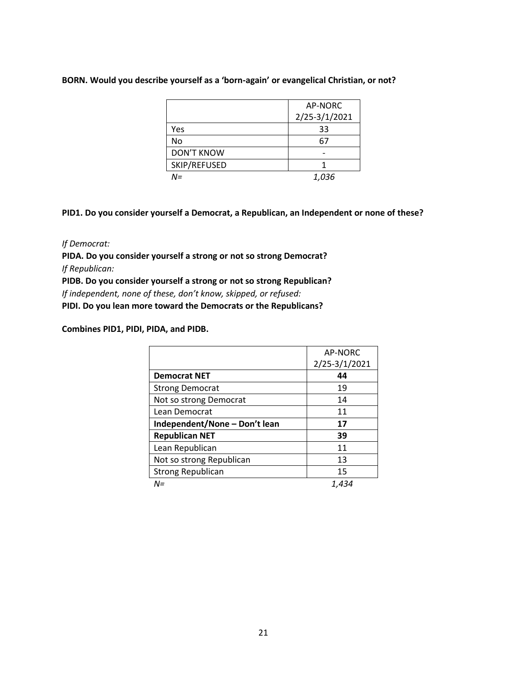### **BORN. Would you describe yourself as a 'born-again' or evangelical Christian, or not?**

|                   | AP-NORC       |
|-------------------|---------------|
|                   | 2/25-3/1/2021 |
| Yes               | 33            |
| No                | 67            |
| <b>DON'T KNOW</b> |               |
| SKIP/REFUSED      |               |
| $N =$             | 1,036         |

**PID1. Do you consider yourself a Democrat, a Republican, an Independent or none of these?**

*If Democrat:*

**PIDA. Do you consider yourself a strong or not so strong Democrat?** *If Republican:*

**PIDB. Do you consider yourself a strong or not so strong Republican?** *If independent, none of these, don't know, skipped, or refused:* 

**PIDI. Do you lean more toward the Democrats or the Republicans?**

**Combines PID1, PIDI, PIDA, and PIDB.**

|                               | <b>AP-NORC</b> |
|-------------------------------|----------------|
|                               | 2/25-3/1/2021  |
| <b>Democrat NET</b>           | 44             |
| <b>Strong Democrat</b>        | 19             |
| Not so strong Democrat        | 14             |
| Lean Democrat                 | 11             |
| Independent/None - Don't lean | 17             |
| <b>Republican NET</b>         | 39             |
| Lean Republican               | 11             |
| Not so strong Republican      | 13             |
| <b>Strong Republican</b>      | 15             |
| N=                            | 1,434          |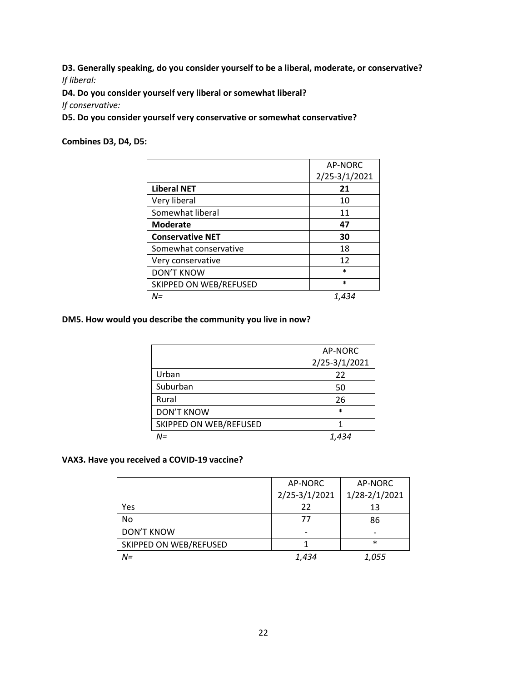**D3. Generally speaking, do you consider yourself to be a liberal, moderate, or conservative?** *If liberal:* 

**D4. Do you consider yourself very liberal or somewhat liberal?** 

*If conservative:* 

**D5. Do you consider yourself very conservative or somewhat conservative?** 

**Combines D3, D4, D5:** 

|                         | AP-NORC       |
|-------------------------|---------------|
|                         | 2/25-3/1/2021 |
| <b>Liberal NET</b>      | 21            |
| Very liberal            | 10            |
| Somewhat liberal        | 11            |
| <b>Moderate</b>         | 47            |
| <b>Conservative NET</b> | 30            |
| Somewhat conservative   | 18            |
| Very conservative       | 12            |
| <b>DON'T KNOW</b>       | $\ast$        |
| SKIPPED ON WEB/REFUSED  | $\ast$        |
| $N =$                   | 1.434         |

# **DM5. How would you describe the community you live in now?**

|                        | AP-NORC       |
|------------------------|---------------|
|                        | 2/25-3/1/2021 |
| Urban                  | 22            |
| Suburban               | 50            |
| Rural                  | 26            |
| <b>DON'T KNOW</b>      | $\ast$        |
| SKIPPED ON WEB/REFUSED |               |
| N=                     | 1,434         |

### **VAX3. Have you received a COVID-19 vaccine?**

|                        | AP-NORC       | AP-NORC       |
|------------------------|---------------|---------------|
|                        | 2/25-3/1/2021 | 1/28-2/1/2021 |
| Yes                    | 22            | 13            |
| No                     | 77            | 86            |
| <b>DON'T KNOW</b>      |               |               |
| SKIPPED ON WEB/REFUSED |               | $\ast$        |
| $N =$                  | 1,434         | 1,055         |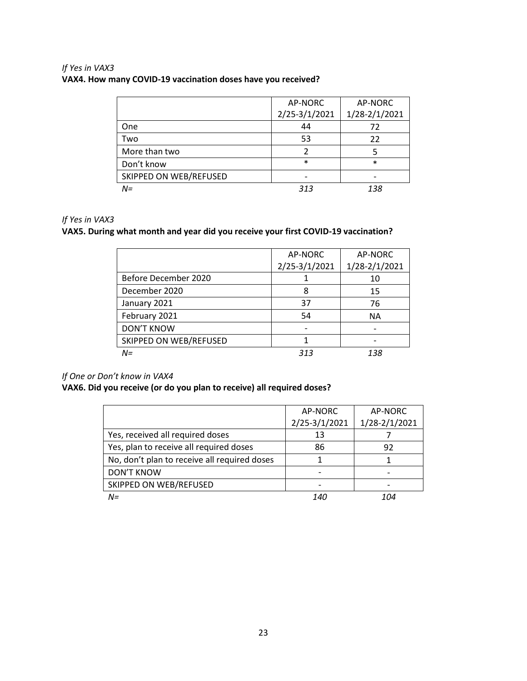# *If Yes in VAX3* **VAX4. How many COVID-19 vaccination doses have you received?**

|                        | AP-NORC       | AP-NORC       |  |
|------------------------|---------------|---------------|--|
|                        | 2/25-3/1/2021 | 1/28-2/1/2021 |  |
| One                    | 44            | 72            |  |
| Two                    | 53            | 22            |  |
| More than two          |               |               |  |
| Don't know             | $\ast$        | $\ast$        |  |
| SKIPPED ON WEB/REFUSED |               |               |  |
| $N =$                  | 313           | 138           |  |

# *If Yes in VAX3*

# **VAX5. During what month and year did you receive your first COVID-19 vaccination?**

|                        | AP-NORC       | AP-NORC       |
|------------------------|---------------|---------------|
|                        | 2/25-3/1/2021 | 1/28-2/1/2021 |
| Before December 2020   |               | 10            |
| December 2020          | 8             | 15            |
| January 2021           | 37            | 76            |
| February 2021          | 54            | ΝA            |
| <b>DON'T KNOW</b>      |               |               |
| SKIPPED ON WEB/REFUSED |               |               |
| $N =$                  | 313           | 138           |

### *If One or Don't know in VAX4*

# **VAX6. Did you receive (or do you plan to receive) all required doses?**

|                                              | AP-NORC       | AP-NORC       |
|----------------------------------------------|---------------|---------------|
|                                              | 2/25-3/1/2021 | 1/28-2/1/2021 |
| Yes, received all required doses             | 13            |               |
| Yes, plan to receive all required doses      | 86            | 92            |
| No, don't plan to receive all required doses |               |               |
| <b>DON'T KNOW</b>                            |               |               |
| SKIPPED ON WEB/REFUSED                       |               |               |
| $N =$                                        | 140           | 1∩4           |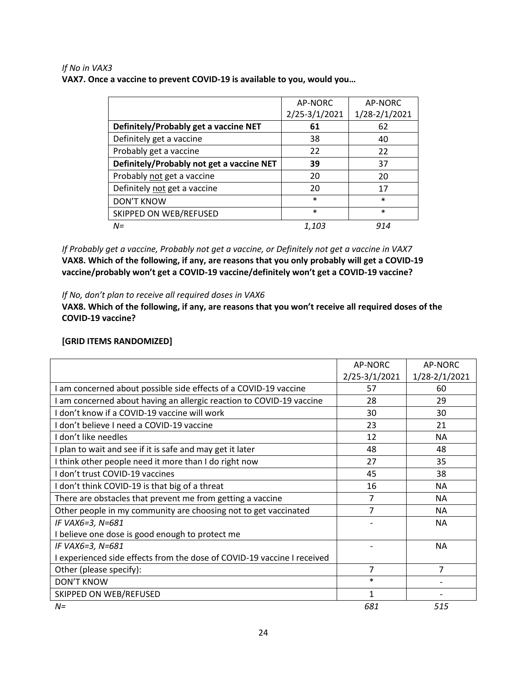### *If No in VAX3* **VAX7. Once a vaccine to prevent COVID-19 is available to you, would you…**

|                                           | AP-NORC       | AP-NORC       |
|-------------------------------------------|---------------|---------------|
|                                           | 2/25-3/1/2021 | 1/28-2/1/2021 |
| Definitely/Probably get a vaccine NET     | 61            | 62            |
| Definitely get a vaccine                  | 38            | 40            |
| Probably get a vaccine                    | 22            | 22            |
| Definitely/Probably not get a vaccine NET | 39            | 37            |
| Probably not get a vaccine                | 20            | 20            |
| Definitely not get a vaccine              | 20            | 17            |
| <b>DON'T KNOW</b>                         | $\ast$        | $\ast$        |
| SKIPPED ON WEB/REFUSED                    | $\ast$        | $\ast$        |
| $N =$                                     | 1,103         | 914           |

*If Probably get a vaccine, Probably not get a vaccine, or Definitely not get a vaccine in VAX7* **VAX8. Which of the following, if any, are reasons that you only probably will get a COVID-19 vaccine/probably won't get a COVID-19 vaccine/definitely won't get a COVID-19 vaccine?**

*If No, don't plan to receive all required doses in VAX6* 

**VAX8. Which of the following, if any, are reasons that you won't receive all required doses of the COVID-19 vaccine?**

### **[GRID ITEMS RANDOMIZED]**

|                                                                       | AP-NORC       | AP-NORC        |
|-----------------------------------------------------------------------|---------------|----------------|
|                                                                       | 2/25-3/1/2021 | 1/28-2/1/2021  |
| am concerned about possible side effects of a COVID-19 vaccine        | 57            | 60             |
| am concerned about having an allergic reaction to COVID-19 vaccine    | 28            | 29             |
| don't know if a COVID-19 vaccine will work                            | 30            | 30             |
| don't believe I need a COVID-19 vaccine                               | 23            | 21             |
| don't like needles                                                    | 12            | <b>NA</b>      |
| plan to wait and see if it is safe and may get it later               | 48            | 48             |
| I think other people need it more than I do right now                 | 27            | 35             |
| don't trust COVID-19 vaccines                                         | 45            | 38             |
| don't think COVID-19 is that big of a threat                          | 16            | <b>NA</b>      |
| There are obstacles that prevent me from getting a vaccine            | 7             | <b>NA</b>      |
| Other people in my community are choosing not to get vaccinated       | 7             | <b>NA</b>      |
| IF VAX6=3, N=681                                                      |               | <b>NA</b>      |
| I believe one dose is good enough to protect me                       |               |                |
| IF VAX6=3, N=681                                                      |               | <b>NA</b>      |
| experienced side effects from the dose of COVID-19 vaccine I received |               |                |
| Other (please specify):                                               | 7             | $\overline{7}$ |
| <b>DON'T KNOW</b>                                                     | $\ast$        |                |
| SKIPPED ON WEB/REFUSED                                                | 1             |                |
| $N =$                                                                 | 681           | 515            |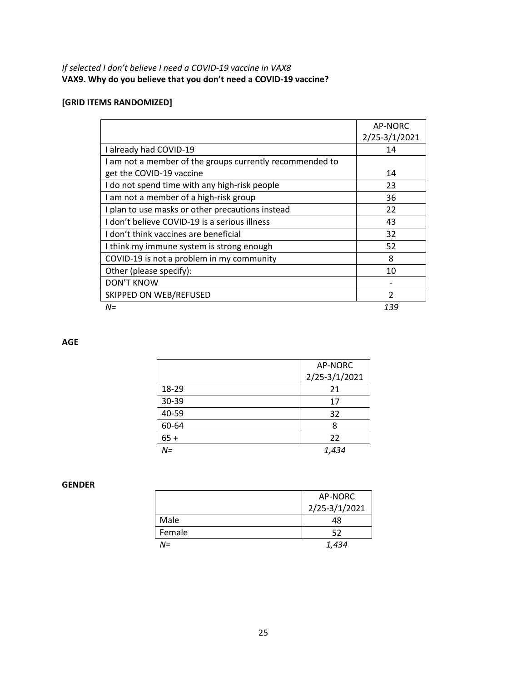# **[GRID ITEMS RANDOMIZED]**

|                                                          | AP-NORC        |
|----------------------------------------------------------|----------------|
|                                                          | 2/25-3/1/2021  |
| I already had COVID-19                                   | 14             |
| I am not a member of the groups currently recommended to |                |
| get the COVID-19 vaccine                                 | 14             |
| I do not spend time with any high-risk people            | 23             |
| I am not a member of a high-risk group                   | 36             |
| I plan to use masks or other precautions instead         | 22             |
| I don't believe COVID-19 is a serious illness            | 43             |
| I don't think vaccines are beneficial                    | 32             |
| I think my immune system is strong enough                | 52             |
| COVID-19 is not a problem in my community                | 8              |
| Other (please specify):                                  | 10             |
| <b>DON'T KNOW</b>                                        |                |
| SKIPPED ON WEB/REFUSED                                   | $\mathfrak{p}$ |
| $N =$                                                    | 139            |

### **AGE**

|        | AP-NORC       |
|--------|---------------|
|        | 2/25-3/1/2021 |
| 18-29  | 21            |
| 30-39  | 17            |
| 40-59  | 32            |
| 60-64  | 8             |
| $65 +$ | 22            |
| $N =$  | 1,434         |

### **GENDER**

|        | AP-NORC       |
|--------|---------------|
|        | 2/25-3/1/2021 |
| Male   | 48            |
| Female | 52            |
| N=     | 1,434         |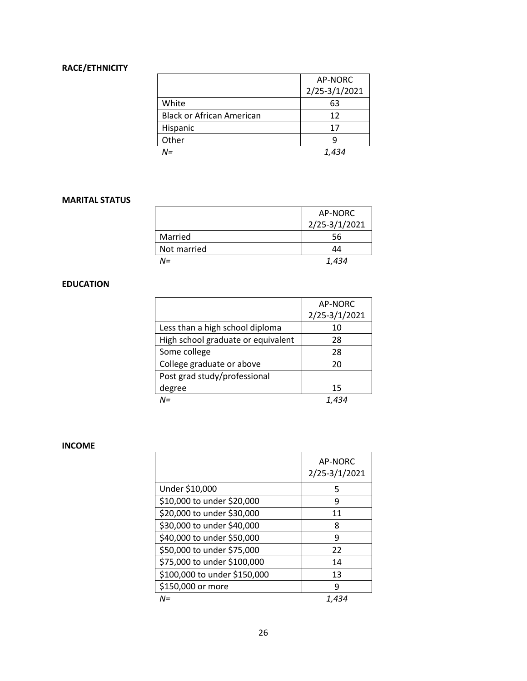# **RACE/ETHNICITY**

|                                  | AP-NORC       |  |
|----------------------------------|---------------|--|
|                                  | 2/25-3/1/2021 |  |
| White                            | 63            |  |
| <b>Black or African American</b> | 12            |  |
| Hispanic                         | 17            |  |
| Other                            | q             |  |
| NΞ                               | 1.434         |  |

### **MARITAL STATUS**

|             | AP-NORC       |
|-------------|---------------|
|             | 2/25-3/1/2021 |
| Married     | 56            |
| Not married | 44            |
| N=          | 1,434         |

# **EDUCATION**

|                                    | AP-NORC       |
|------------------------------------|---------------|
|                                    | 2/25-3/1/2021 |
| Less than a high school diploma    | 10            |
| High school graduate or equivalent | 28            |
| Some college                       | 28            |
| College graduate or above          | 20            |
| Post grad study/professional       |               |
| degree                             | 15            |
| $M =$                              |               |

### **INCOME**

|                              | AP-NORC<br>2/25-3/1/2021 |
|------------------------------|--------------------------|
| Under \$10,000               | 5                        |
| \$10,000 to under \$20,000   | 9                        |
| \$20,000 to under \$30,000   | 11                       |
| \$30,000 to under \$40,000   | 8                        |
| \$40,000 to under \$50,000   | 9                        |
| \$50,000 to under \$75,000   | 22                       |
| \$75,000 to under \$100,000  | 14                       |
| \$100,000 to under \$150,000 | 13                       |
| \$150,000 or more            | q                        |
| N=                           | 1.434                    |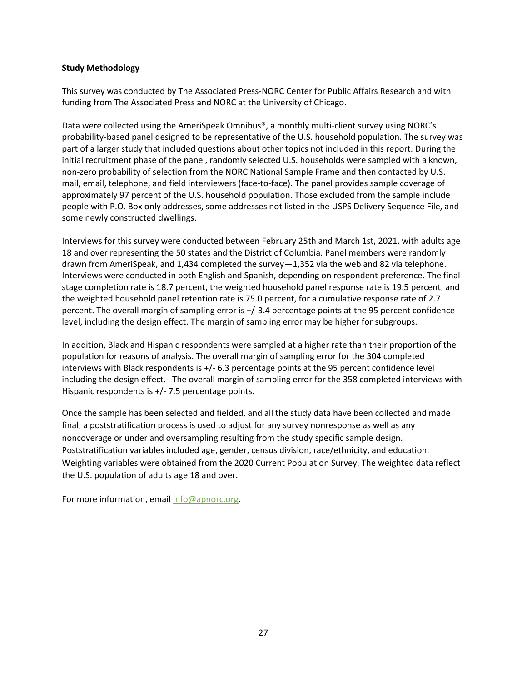### **Study Methodology**

This survey was conducted by The Associated Press-NORC Center for Public Affairs Research and with funding from The Associated Press and NORC at the University of Chicago.

Data were collected using the AmeriSpeak Omnibus®, a monthly multi-client survey using NORC's probability-based panel designed to be representative of the U.S. household population. The survey was part of a larger study that included questions about other topics not included in this report. During the initial recruitment phase of the panel, randomly selected U.S. households were sampled with a known, non-zero probability of selection from the NORC National Sample Frame and then contacted by U.S. mail, email, telephone, and field interviewers (face-to-face). The panel provides sample coverage of approximately 97 percent of the U.S. household population. Those excluded from the sample include people with P.O. Box only addresses, some addresses not listed in the USPS Delivery Sequence File, and some newly constructed dwellings.

Interviews for this survey were conducted between February 25th and March 1st, 2021, with adults age 18 and over representing the 50 states and the District of Columbia. Panel members were randomly drawn from AmeriSpeak, and 1,434 completed the survey—1,352 via the web and 82 via telephone. Interviews were conducted in both English and Spanish, depending on respondent preference. The final stage completion rate is 18.7 percent, the weighted household panel response rate is 19.5 percent, and the weighted household panel retention rate is 75.0 percent, for a cumulative response rate of 2.7 percent. The overall margin of sampling error is +/-3.4 percentage points at the 95 percent confidence level, including the design effect. The margin of sampling error may be higher for subgroups.

In addition, Black and Hispanic respondents were sampled at a higher rate than their proportion of the population for reasons of analysis. The overall margin of sampling error for the 304 completed interviews with Black respondents is +/- 6.3 percentage points at the 95 percent confidence level including the design effect. The overall margin of sampling error for the 358 completed interviews with Hispanic respondents is +/- 7.5 percentage points.

Once the sample has been selected and fielded, and all the study data have been collected and made final, a poststratification process is used to adjust for any survey nonresponse as well as any noncoverage or under and oversampling resulting from the study specific sample design. Poststratification variables included age, gender, census division, race/ethnicity, and education. Weighting variables were obtained from the 2020 Current Population Survey. The weighted data reflect the U.S. population of adults age 18 and over.

For more information, email [info@apnorc.org.](mailto:info@apnorc.org)